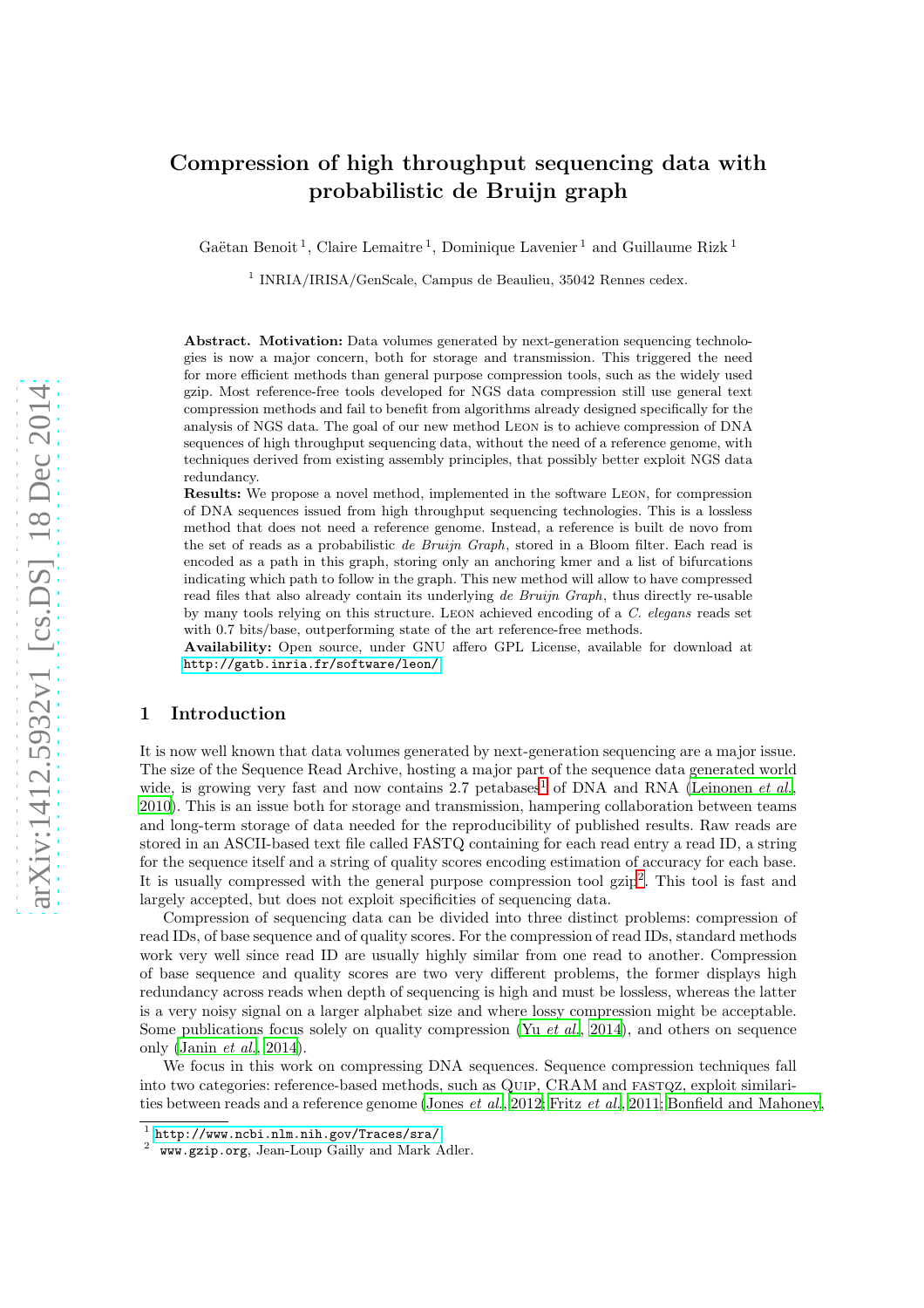# Compression of high throughput sequencing data with probabilistic de Bruijn graph

Gaëtan Benoit<sup>1</sup>, Claire Lemaitre<sup>1</sup>, Dominique Lavenier<sup>1</sup> and Guillaume Rizk<sup>1</sup>

<sup>1</sup> INRIA/IRISA/GenScale, Campus de Beaulieu, 35042 Rennes cedex.

Abstract. Motivation: Data volumes generated by next-generation sequencing technologies is now a major concern, both for storage and transmission. This triggered the need for more efficient methods than general purpose compression tools, such as the widely used gzip. Most reference-free tools developed for NGS data compression still use general text compression methods and fail to benefit from algorithms already designed specifically for the analysis of NGS data. The goal of our new method Leon is to achieve compression of DNA sequences of high throughput sequencing data, without the need of a reference genome, with techniques derived from existing assembly principles, that possibly better exploit NGS data redundancy.

Results: We propose a novel method, implemented in the software Leon, for compression of DNA sequences issued from high throughput sequencing technologies. This is a lossless method that does not need a reference genome. Instead, a reference is built de novo from the set of reads as a probabilistic de Bruijn Graph, stored in a Bloom filter. Each read is encoded as a path in this graph, storing only an anchoring kmer and a list of bifurcations indicating which path to follow in the graph. This new method will allow to have compressed read files that also already contain its underlying de Bruijn Graph, thus directly re-usable by many tools relying on this structure. Leon achieved encoding of a C. elegans reads set with 0.7 bits/base, outperforming state of the art reference-free methods.

Availability: Open source, under GNU affero GPL License, available for download at <http://gatb.inria.fr/software/leon/>

# 1 Introduction

It is now well known that data volumes generated by next-generation sequencing are a major issue. The size of the Sequence Read Archive, hosting a major part of the sequence data generated world wide, is growing very fast and now contains 2.7 petabases<sup>[1](#page-0-0)</sup> of DNA and RNA [\(Leinonen](#page-20-0) *et al.*, [2010\)](#page-20-0). This is an issue both for storage and transmission, hampering collaboration between teams and long-term storage of data needed for the reproducibility of published results. Raw reads are stored in an ASCII-based text file called FASTQ containing for each read entry a read ID, a string for the sequence itself and a string of quality scores encoding estimation of accuracy for each base. It is usually compressed with the general purpose compression tool gzip<sup>[2](#page-0-1)</sup>. This tool is fast and largely accepted, but does not exploit specificities of sequencing data.

Compression of sequencing data can be divided into three distinct problems: compression of read IDs, of base sequence and of quality scores. For the compression of read IDs, standard methods work very well since read ID are usually highly similar from one read to another. Compression of base sequence and quality scores are two very different problems, the former displays high redundancy across reads when depth of sequencing is high and must be lossless, whereas the latter is a very noisy signal on a larger alphabet size and where lossy compression might be acceptable. Some publications focus solely on quality compression (Yu *[et al.](#page-20-1)*, [2014](#page-20-1)), and others on sequence only [\(Janin](#page-20-2) *et al.*, [2014](#page-20-2)).

We focus in this work on compressing DNA sequences. Sequence compression techniques fall into two categories: reference-based methods, such as QUIP, CRAM and FASTQZ, exploit similarities between reads and a reference genome [\(Jones](#page-20-3) *et al.*, [2012;](#page-20-3) Fritz *[et al.](#page-20-4)*, [2011;](#page-20-4) [Bonfield and Mahoney](#page-20-5),

 $^{\rm 1}$  <http://www.ncbi.nlm.nih.gov/Traces/sra/>

<span id="page-0-1"></span><span id="page-0-0"></span><sup>2</sup> www.gzip.org, Jean-Loup Gailly and Mark Adler.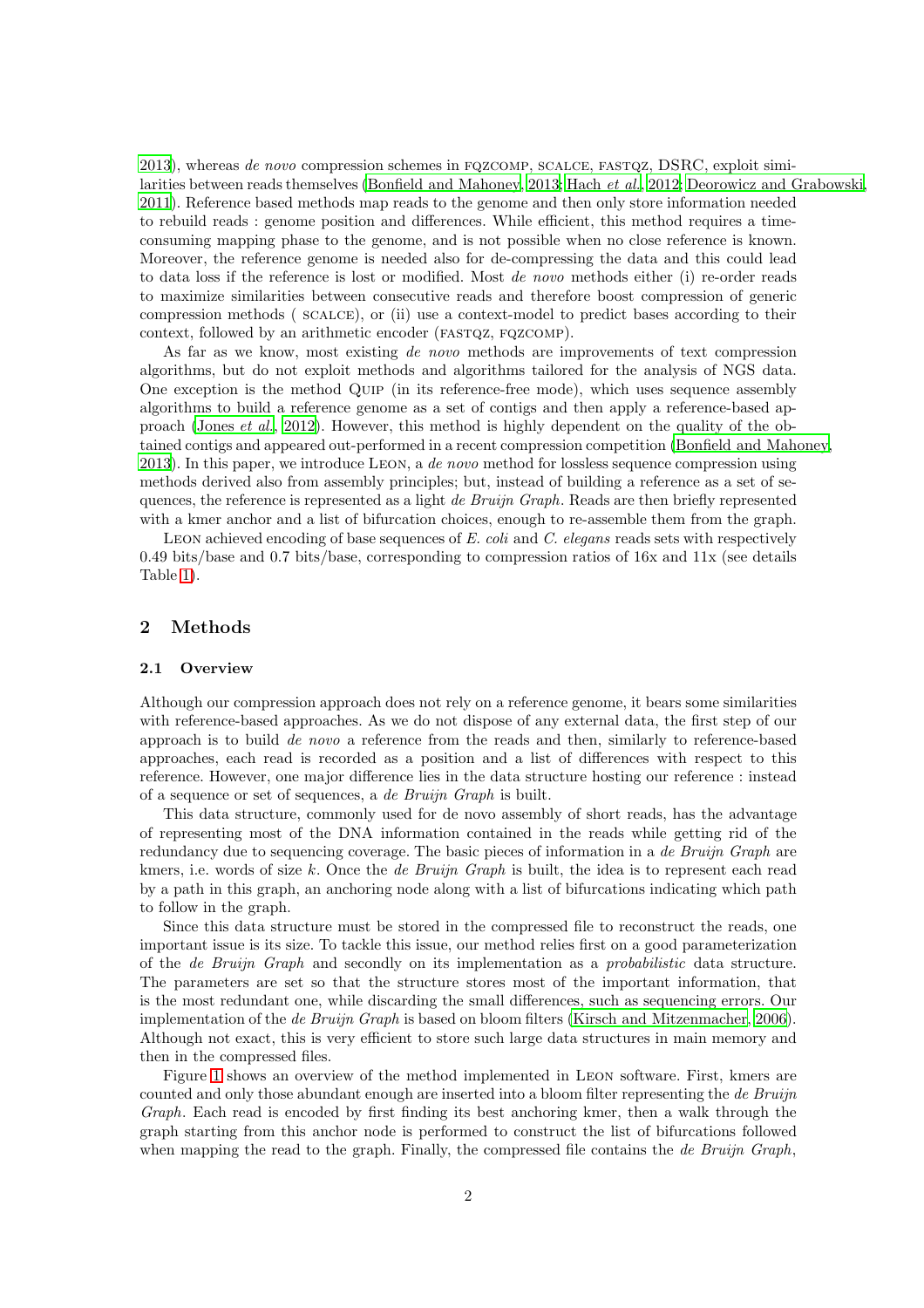[2013\)](#page-20-5), whereas *de novo* compression schemes in fqzcomp, scalce, fastqz, DSRC, exploit similarities between reads themselves [\(Bonfield and Mahoney](#page-20-5), [2013;](#page-20-5) [Hach](#page-20-6) *et al.*, [2012;](#page-20-6) [Deorowicz and Grabowski,](#page-20-7) [2011\)](#page-20-7). Reference based methods map reads to the genome and then only store information needed to rebuild reads : genome position and differences. While efficient, this method requires a timeconsuming mapping phase to the genome, and is not possible when no close reference is known. Moreover, the reference genome is needed also for de-compressing the data and this could lead to data loss if the reference is lost or modified. Most *de novo* methods either (i) re-order reads to maximize similarities between consecutive reads and therefore boost compression of generic compression methods ( scalce), or (ii) use a context-model to predict bases according to their context, followed by an arithmetic encoder (FASTQZ, FQZCOMP).

As far as we know, most existing *de novo* methods are improvements of text compression algorithms, but do not exploit methods and algorithms tailored for the analysis of NGS data. One exception is the method Quip (in its reference-free mode), which uses sequence assembly algorithms to build a reference genome as a set of contigs and then apply a reference-based approach [\(Jones](#page-20-3) *et al.*, [2012\)](#page-20-3). However, this method is highly dependent on the quality of the obtained contigs and appeared out-performed in a recent compression competition [\(Bonfield and Mahoney,](#page-20-5) [2013\)](#page-20-5). In this paper, we introduce Leon, a *de novo* method for lossless sequence compression using methods derived also from assembly principles; but, instead of building a reference as a set of sequences, the reference is represented as a light *de Bruijn Graph*. Reads are then briefly represented with a kmer anchor and a list of bifurcation choices, enough to re-assemble them from the graph.

Leon achieved encoding of base sequences of *E. coli* and *C. elegans* reads sets with respectively 0.49 bits/base and 0.7 bits/base, corresponding to compression ratios of 16x and 11x (see details Table [1\)](#page-12-0).

# 2 Methods

#### 2.1 Overview

Although our compression approach does not rely on a reference genome, it bears some similarities with reference-based approaches. As we do not dispose of any external data, the first step of our approach is to build *de novo* a reference from the reads and then, similarly to reference-based approaches, each read is recorded as a position and a list of differences with respect to this reference. However, one major difference lies in the data structure hosting our reference : instead of a sequence or set of sequences, a *de Bruijn Graph* is built.

This data structure, commonly used for de novo assembly of short reads, has the advantage of representing most of the DNA information contained in the reads while getting rid of the redundancy due to sequencing coverage. The basic pieces of information in a *de Bruijn Graph* are kmers, i.e. words of size k. Once the *de Bruijn Graph* is built, the idea is to represent each read by a path in this graph, an anchoring node along with a list of bifurcations indicating which path to follow in the graph.

Since this data structure must be stored in the compressed file to reconstruct the reads, one important issue is its size. To tackle this issue, our method relies first on a good parameterization of the *de Bruijn Graph* and secondly on its implementation as a *probabilistic* data structure. The parameters are set so that the structure stores most of the important information, that is the most redundant one, while discarding the small differences, such as sequencing errors. Our implementation of the *de Bruijn Graph* is based on bloom filters [\(Kirsch and Mitzenmacher](#page-20-8), [2006\)](#page-20-8). Although not exact, this is very efficient to store such large data structures in main memory and then in the compressed files.

Figure [1](#page-2-0) shows an overview of the method implemented in Leon software. First, kmers are counted and only those abundant enough are inserted into a bloom filter representing the *de Bruijn Graph*. Each read is encoded by first finding its best anchoring kmer, then a walk through the graph starting from this anchor node is performed to construct the list of bifurcations followed when mapping the read to the graph. Finally, the compressed file contains the *de Bruijn Graph*,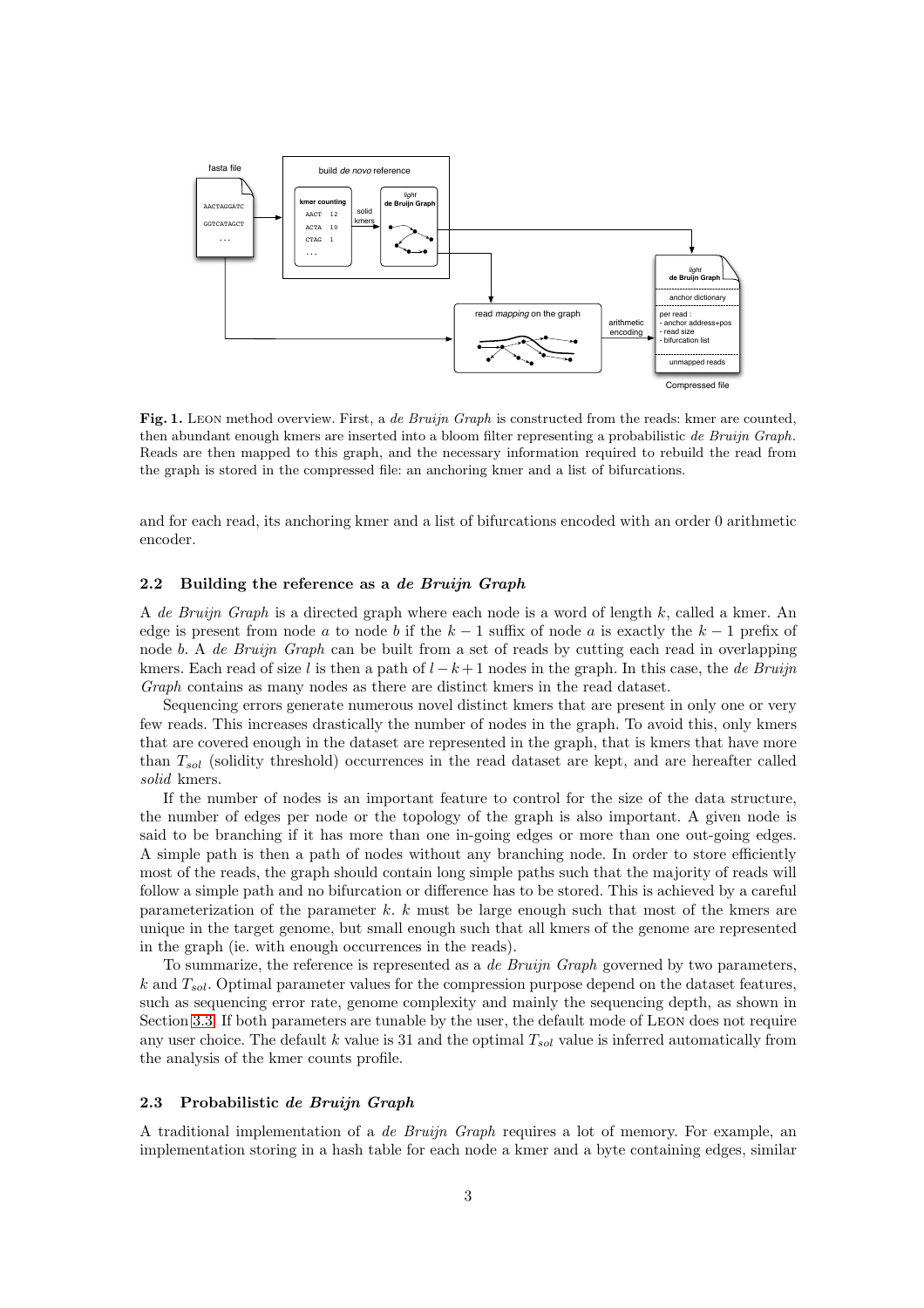

<span id="page-2-0"></span>Fig. 1. LEON method overview. First, a de Bruijn Graph is constructed from the reads: kmer are counted, then abundant enough kmers are inserted into a bloom filter representing a probabilistic de Bruijn Graph. Reads are then mapped to this graph, and the necessary information required to rebuild the read from the graph is stored in the compressed file: an anchoring kmer and a list of bifurcations.

and for each read, its anchoring kmer and a list of bifurcations encoded with an order 0 arithmetic encoder.

# 2.2 Building the reference as a de Bruijn Graph

A *de Bruijn Graph* is a directed graph where each node is a word of length k, called a kmer. An edge is present from node a to node b if the  $k - 1$  suffix of node a is exactly the  $k - 1$  prefix of node b. A *de Bruijn Graph* can be built from a set of reads by cutting each read in overlapping kmers. Each read of size l is then a path of l −k + 1 nodes in the graph. In this case, the *de Bruijn Graph* contains as many nodes as there are distinct kmers in the read dataset.

Sequencing errors generate numerous novel distinct kmers that are present in only one or very few reads. This increases drastically the number of nodes in the graph. To avoid this, only kmers that are covered enough in the dataset are represented in the graph, that is kmers that have more than  $T_{sol}$  (solidity threshold) occurrences in the read dataset are kept, and are hereafter called *solid* kmers.

If the number of nodes is an important feature to control for the size of the data structure, the number of edges per node or the topology of the graph is also important. A given node is said to be branching if it has more than one in-going edges or more than one out-going edges. A simple path is then a path of nodes without any branching node. In order to store efficiently most of the reads, the graph should contain long simple paths such that the majority of reads will follow a simple path and no bifurcation or difference has to be stored. This is achieved by a careful parameterization of the parameter k. k must be large enough such that most of the kmers are unique in the target genome, but small enough such that all kmers of the genome are represented in the graph (ie. with enough occurrences in the reads).

To summarize, the reference is represented as a *de Bruijn Graph* governed by two parameters,  $k$  and  $T_{sol}$ . Optimal parameter values for the compression purpose depend on the dataset features, such as sequencing error rate, genome complexity and mainly the sequencing depth, as shown in Section [3.3.](#page-8-0) If both parameters are tunable by the user, the default mode of Leon does not require any user choice. The default k value is 31 and the optimal  $T_{sol}$  value is inferred automatically from the analysis of the kmer counts profile.

#### 2.3 Probabilistic de Bruijn Graph

A traditional implementation of a *de Bruijn Graph* requires a lot of memory. For example, an implementation storing in a hash table for each node a kmer and a byte containing edges, similar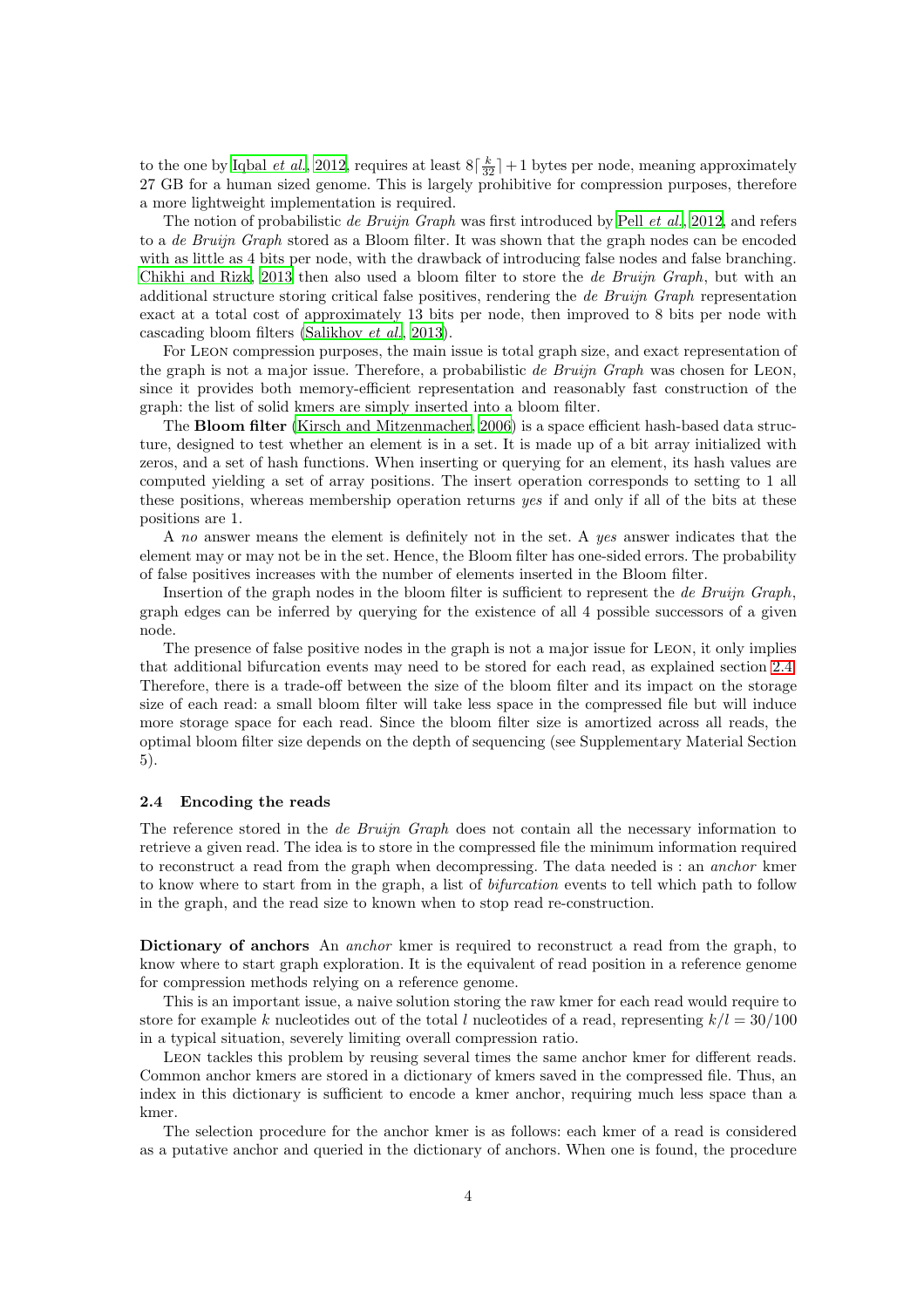to the one by [Iqbal](#page-20-9) *et al.*, [2012,](#page-20-9) requires at least  $8\left[\frac{k}{32}\right]+1$  bytes per node, meaning approximately 27 GB for a human sized genome. This is largely prohibitive for compression purposes, therefore a more lightweight implementation is required.

The notion of probabilistic *de Bruijn Graph* was first introduced by Pell *[et al.](#page-20-10)*, [2012](#page-20-10), and refers to a *de Bruijn Graph* stored as a Bloom filter. It was shown that the graph nodes can be encoded with as little as 4 bits per node, with the drawback of introducing false nodes and false branching. [Chikhi and Rizk, 2013](#page-20-11) then also used a bloom filter to store the *de Bruijn Graph*, but with an additional structure storing critical false positives, rendering the *de Bruijn Graph* representation exact at a total cost of approximately 13 bits per node, then improved to 8 bits per node with cascading bloom filters [\(Salikhov](#page-20-12) *et al.*, [2013\)](#page-20-12).

For Leon compression purposes, the main issue is total graph size, and exact representation of the graph is not a major issue. Therefore, a probabilistic *de Bruijn Graph* was chosen for Leon, since it provides both memory-efficient representation and reasonably fast construction of the graph: the list of solid kmers are simply inserted into a bloom filter.

The Bloom filter [\(Kirsch and Mitzenmacher, 2006](#page-20-8)) is a space efficient hash-based data structure, designed to test whether an element is in a set. It is made up of a bit array initialized with zeros, and a set of hash functions. When inserting or querying for an element, its hash values are computed yielding a set of array positions. The insert operation corresponds to setting to 1 all these positions, whereas membership operation returns *yes* if and only if all of the bits at these positions are 1.

A *no* answer means the element is definitely not in the set. A *yes* answer indicates that the element may or may not be in the set. Hence, the Bloom filter has one-sided errors. The probability of false positives increases with the number of elements inserted in the Bloom filter.

Insertion of the graph nodes in the bloom filter is sufficient to represent the *de Bruijn Graph*, graph edges can be inferred by querying for the existence of all 4 possible successors of a given node.

The presence of false positive nodes in the graph is not a major issue for Leon, it only implies that additional bifurcation events may need to be stored for each read, as explained section [2.4.](#page-3-0) Therefore, there is a trade-off between the size of the bloom filter and its impact on the storage size of each read: a small bloom filter will take less space in the compressed file but will induce more storage space for each read. Since the bloom filter size is amortized across all reads, the optimal bloom filter size depends on the depth of sequencing (see Supplementary Material Section 5).

#### <span id="page-3-0"></span>2.4 Encoding the reads

The reference stored in the *de Bruijn Graph* does not contain all the necessary information to retrieve a given read. The idea is to store in the compressed file the minimum information required to reconstruct a read from the graph when decompressing. The data needed is : an *anchor* kmer to know where to start from in the graph, a list of *bifurcation* events to tell which path to follow in the graph, and the read size to known when to stop read re-construction.

Dictionary of anchors An *anchor* kmer is required to reconstruct a read from the graph, to know where to start graph exploration. It is the equivalent of read position in a reference genome for compression methods relying on a reference genome.

This is an important issue, a naive solution storing the raw kmer for each read would require to store for example k nucleotides out of the total l nucleotides of a read, representing  $k/l = 30/100$ in a typical situation, severely limiting overall compression ratio.

Leon tackles this problem by reusing several times the same anchor kmer for different reads. Common anchor kmers are stored in a dictionary of kmers saved in the compressed file. Thus, an index in this dictionary is sufficient to encode a kmer anchor, requiring much less space than a kmer.

The selection procedure for the anchor kmer is as follows: each kmer of a read is considered as a putative anchor and queried in the dictionary of anchors. When one is found, the procedure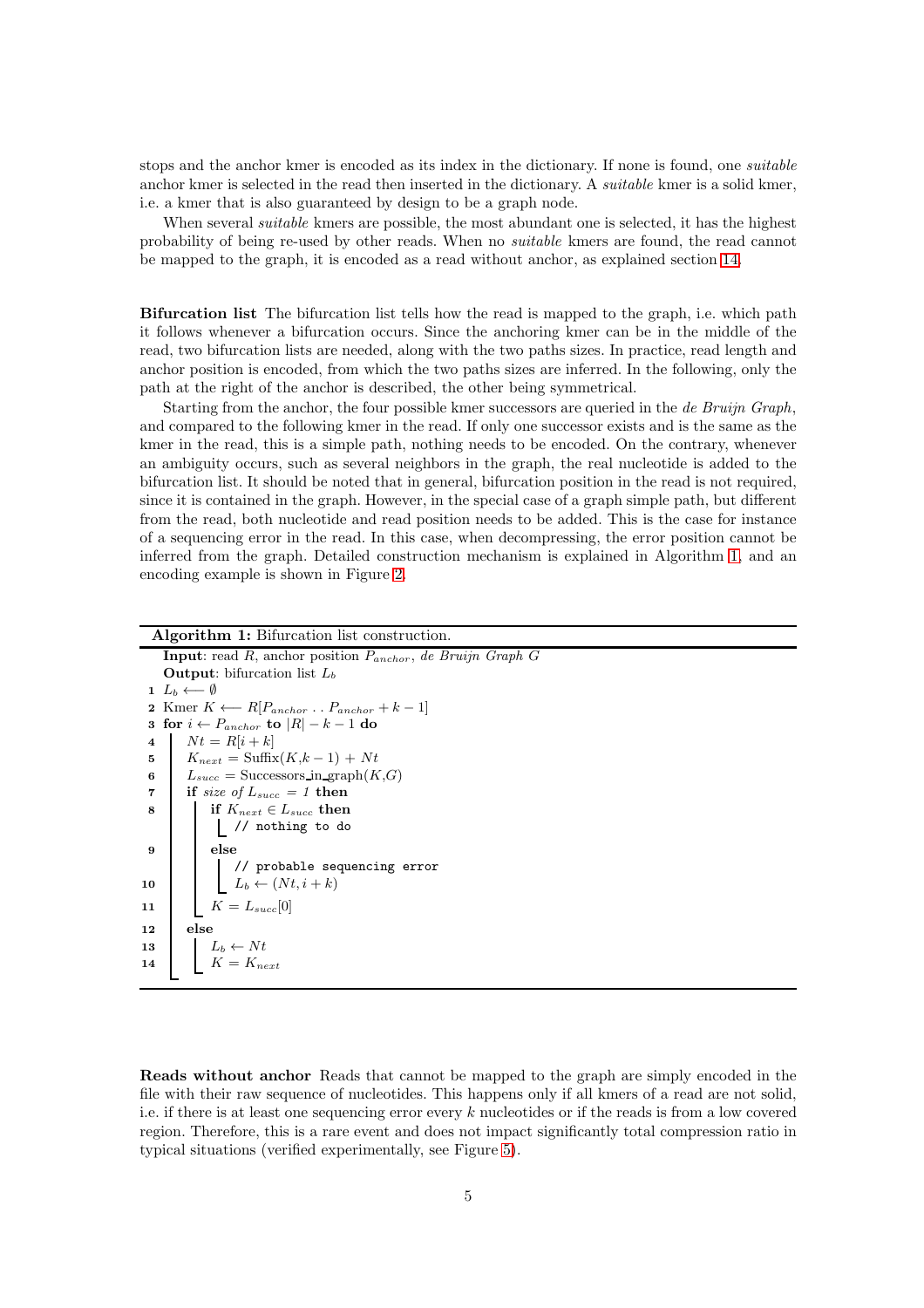stops and the anchor kmer is encoded as its index in the dictionary. If none is found, one *suitable* anchor kmer is selected in the read then inserted in the dictionary. A *suitable* kmer is a solid kmer, i.e. a kmer that is also guaranteed by design to be a graph node.

When several *suitable* kmers are possible, the most abundant one is selected, it has the highest probability of being re-used by other reads. When no *suitable* kmers are found, the read cannot be mapped to the graph, it is encoded as a read without anchor, as explained section [14.](#page-4-0)

Bifurcation list The bifurcation list tells how the read is mapped to the graph, i.e. which path it follows whenever a bifurcation occurs. Since the anchoring kmer can be in the middle of the read, two bifurcation lists are needed, along with the two paths sizes. In practice, read length and anchor position is encoded, from which the two paths sizes are inferred. In the following, only the path at the right of the anchor is described, the other being symmetrical.

Starting from the anchor, the four possible kmer successors are queried in the *de Bruijn Graph*, and compared to the following kmer in the read. If only one successor exists and is the same as the kmer in the read, this is a simple path, nothing needs to be encoded. On the contrary, whenever an ambiguity occurs, such as several neighbors in the graph, the real nucleotide is added to the bifurcation list. It should be noted that in general, bifurcation position in the read is not required, since it is contained in the graph. However, in the special case of a graph simple path, but different from the read, both nucleotide and read position needs to be added. This is the case for instance of a sequencing error in the read. In this case, when decompressing, the error position cannot be inferred from the graph. Detailed construction mechanism is explained in Algorithm [1,](#page-4-1) and an encoding example is shown in Figure [2.](#page-5-0)

| <b>Algorithm 1:</b> Bifurcation list construction.                                                                                    |
|---------------------------------------------------------------------------------------------------------------------------------------|
| <b>Input:</b> read R, anchor position $P_{anchor}$ , de Bruijn Graph G                                                                |
| <b>Output:</b> bifurcation list $L_b$                                                                                                 |
| $1\ L_b \longleftarrow \emptyset$                                                                                                     |
| 2 Kmer $K \leftarrow R[P_{anchor} \dots P_{anchor} + k-1]$                                                                            |
| 3 for $i \leftarrow P_{anchor}$ to $ R  - k - 1$ do                                                                                   |
| $Nt = R[i+k]$<br>$\overline{\mathbf{4}}$                                                                                              |
| $K_{next} = \text{Suffix}(K, k-1) + Nt$<br>5                                                                                          |
| $L_{succ} =$ Successors in graph $(K, G)$<br>6                                                                                        |
| if size of $L_{succ} = 1$ then<br>$\overline{7}$                                                                                      |
| if $K_{next} \in L_{succ}$ then<br>8                                                                                                  |
| // nothing to do                                                                                                                      |
| else<br>9                                                                                                                             |
|                                                                                                                                       |
| $\begin{array}{ l } \hline \hspace{0.25cm} // \text{ probable sequencing error} \\ \hline L_b \leftarrow (Nt, i+k) \end{array}$<br>10 |
| $K = L_{succ}[0]$<br>11                                                                                                               |
|                                                                                                                                       |
| else<br>12                                                                                                                            |
| 13<br>$L_b \leftarrow Nt$<br>$K = K_{next}$                                                                                           |
| 14                                                                                                                                    |
|                                                                                                                                       |

<span id="page-4-1"></span><span id="page-4-0"></span>Reads without anchor Reads that cannot be mapped to the graph are simply encoded in the file with their raw sequence of nucleotides. This happens only if all kmers of a read are not solid, i.e. if there is at least one sequencing error every k nucleotides or if the reads is from a low covered region. Therefore, this is a rare event and does not impact significantly total compression ratio in typical situations (verified experimentally, see Figure [5\)](#page-10-0).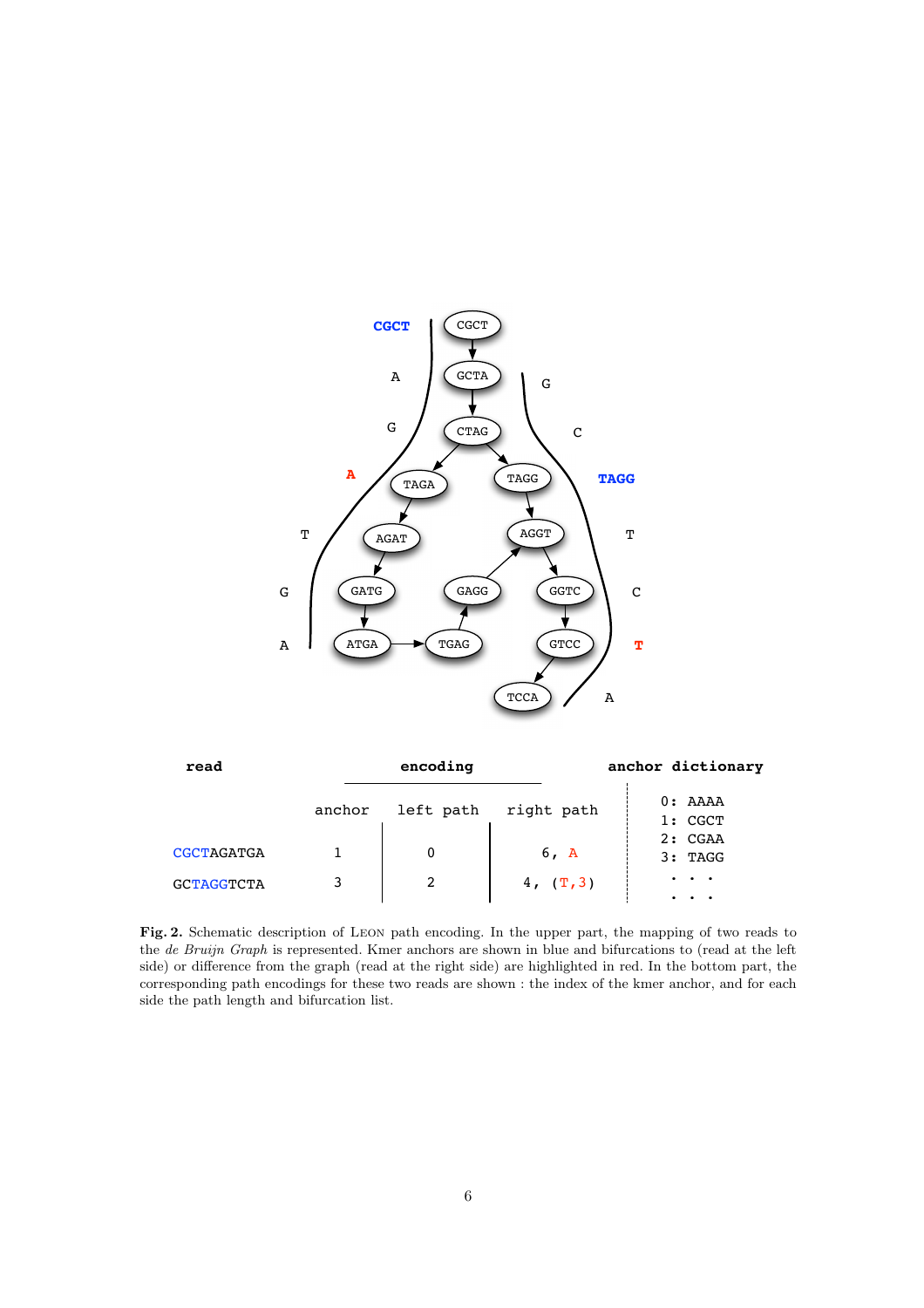

| read              |        | encoding  |            | anchor dictionary  |
|-------------------|--------|-----------|------------|--------------------|
|                   | anchor | left path | right path | 0: AAAA<br>1: CGCT |
| <b>CGCTAGATGA</b> |        |           | 6, A       | 2: CGAA<br>3: TAGG |
| <b>GCTAGGTCTA</b> |        |           | 4, (T, 3)  | $\bullet$          |

<span id="page-5-0"></span>Fig. 2. Schematic description of Leon path encoding. In the upper part, the mapping of two reads to the de Bruijn Graph is represented. Kmer anchors are shown in blue and bifurcations to (read at the left side) or difference from the graph (read at the right side) are highlighted in red. In the bottom part, the corresponding path encodings for these two reads are shown : the index of the kmer anchor, and for each side the path length and bifurcation list.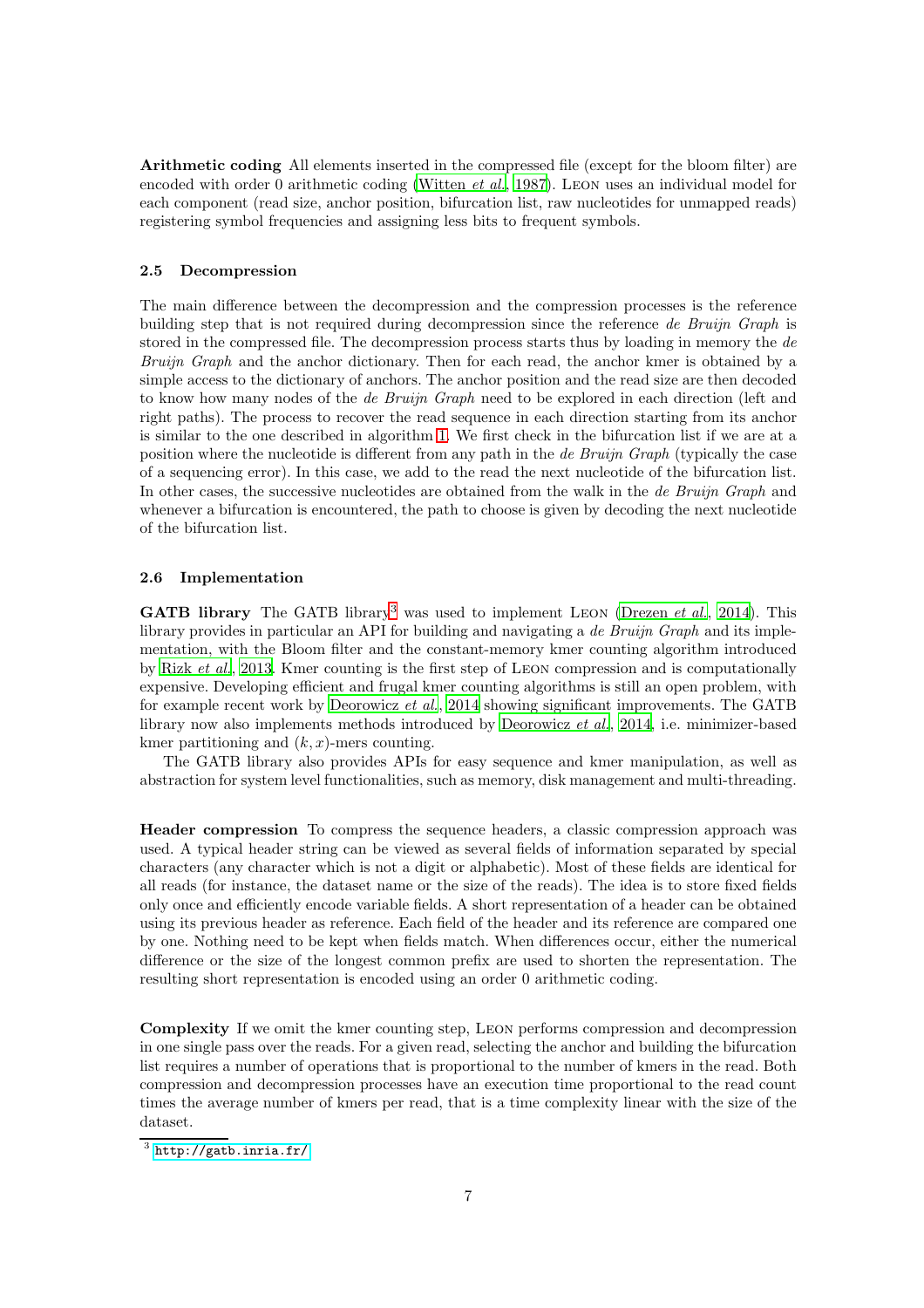Arithmetic coding All elements inserted in the compressed file (except for the bloom filter) are encoded with order 0 arithmetic coding [\(Witten](#page-20-13) *et al.*, [1987\)](#page-20-13). Leon uses an individual model for each component (read size, anchor position, bifurcation list, raw nucleotides for unmapped reads) registering symbol frequencies and assigning less bits to frequent symbols.

#### 2.5 Decompression

The main difference between the decompression and the compression processes is the reference building step that is not required during decompression since the reference *de Bruijn Graph* is stored in the compressed file. The decompression process starts thus by loading in memory the *de Bruijn Graph* and the anchor dictionary. Then for each read, the anchor kmer is obtained by a simple access to the dictionary of anchors. The anchor position and the read size are then decoded to know how many nodes of the *de Bruijn Graph* need to be explored in each direction (left and right paths). The process to recover the read sequence in each direction starting from its anchor is similar to the one described in algorithm [1.](#page-4-1) We first check in the bifurcation list if we are at a position where the nucleotide is different from any path in the *de Bruijn Graph* (typically the case of a sequencing error). In this case, we add to the read the next nucleotide of the bifurcation list. In other cases, the successive nucleotides are obtained from the walk in the *de Bruijn Graph* and whenever a bifurcation is encountered, the path to choose is given by decoding the next nucleotide of the bifurcation list.

## 2.6 Implementation

GATB library The GATB library<sup>[3](#page-6-0)</sup> was used to implement LEON [\(Drezen](#page-20-14) *et al.*, [2014\)](#page-20-14). This library provides in particular an API for building and navigating a *de Bruijn Graph* and its implementation, with the Bloom filter and the constant-memory kmer counting algorithm introduced by Rizk *[et al.](#page-20-15)*, [2013.](#page-20-15) Kmer counting is the first step of Leon compression and is computationally expensive. Developing efficient and frugal kmer counting algorithms is still an open problem, with for example recent work by [Deorowicz](#page-20-16) *et al.*, [2014](#page-20-16) showing significant improvements. The GATB library now also implements methods introduced by [Deorowicz](#page-20-16) *et al.*, [2014](#page-20-16), i.e. minimizer-based kmer partitioning and  $(k, x)$ -mers counting.

The GATB library also provides APIs for easy sequence and kmer manipulation, as well as abstraction for system level functionalities, such as memory, disk management and multi-threading.

Header compression To compress the sequence headers, a classic compression approach was used. A typical header string can be viewed as several fields of information separated by special characters (any character which is not a digit or alphabetic). Most of these fields are identical for all reads (for instance, the dataset name or the size of the reads). The idea is to store fixed fields only once and efficiently encode variable fields. A short representation of a header can be obtained using its previous header as reference. Each field of the header and its reference are compared one by one. Nothing need to be kept when fields match. When differences occur, either the numerical difference or the size of the longest common prefix are used to shorten the representation. The resulting short representation is encoded using an order 0 arithmetic coding.

Complexity If we omit the kmer counting step, Leon performs compression and decompression in one single pass over the reads. For a given read, selecting the anchor and building the bifurcation list requires a number of operations that is proportional to the number of kmers in the read. Both compression and decompression processes have an execution time proportional to the read count times the average number of kmers per read, that is a time complexity linear with the size of the dataset.

<span id="page-6-0"></span> $^3$  <http://gatb.inria.fr/>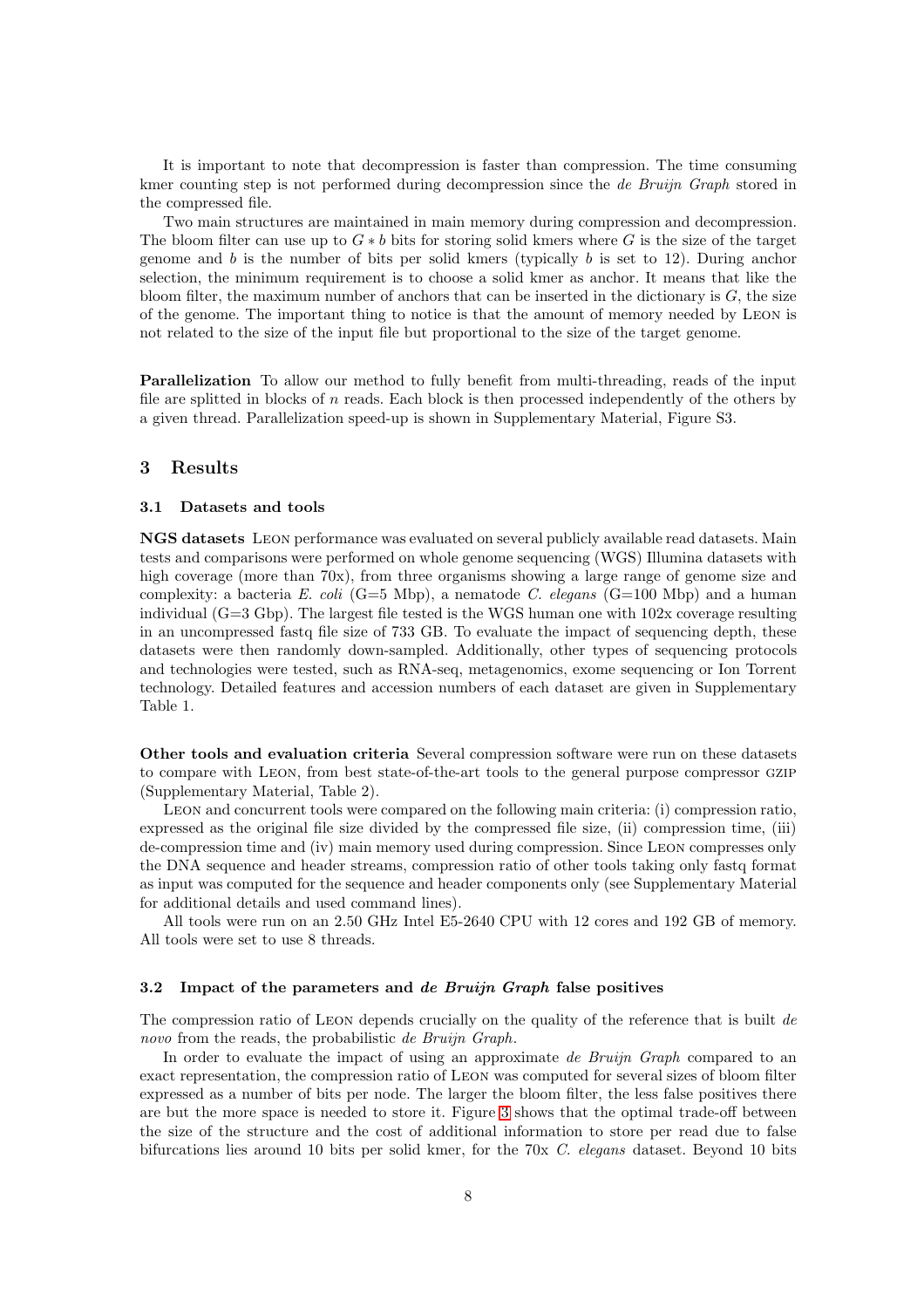It is important to note that decompression is faster than compression. The time consuming kmer counting step is not performed during decompression since the *de Bruijn Graph* stored in the compressed file.

Two main structures are maintained in main memory during compression and decompression. The bloom filter can use up to  $G * b$  bits for storing solid kmers where G is the size of the target genome and  $b$  is the number of bits per solid kmers (typically  $b$  is set to 12). During anchor selection, the minimum requirement is to choose a solid kmer as anchor. It means that like the bloom filter, the maximum number of anchors that can be inserted in the dictionary is  $G$ , the size of the genome. The important thing to notice is that the amount of memory needed by Leon is not related to the size of the input file but proportional to the size of the target genome.

Parallelization To allow our method to fully benefit from multi-threading, reads of the input file are splitted in blocks of  $n$  reads. Each block is then processed independently of the others by a given thread. Parallelization speed-up is shown in Supplementary Material, Figure S3.

# 3 Results

# 3.1 Datasets and tools

NGS datasets Leon performance was evaluated on several publicly available read datasets. Main tests and comparisons were performed on whole genome sequencing (WGS) Illumina datasets with high coverage (more than 70x), from three organisms showing a large range of genome size and complexity: a bacteria *E. coli* (G=5 Mbp), a nematode *C. elegans* (G=100 Mbp) and a human individual  $(G=3 Gbp)$ . The largest file tested is the WGS human one with  $102x$  coverage resulting in an uncompressed fastq file size of 733 GB. To evaluate the impact of sequencing depth, these datasets were then randomly down-sampled. Additionally, other types of sequencing protocols and technologies were tested, such as RNA-seq, metagenomics, exome sequencing or Ion Torrent technology. Detailed features and accession numbers of each dataset are given in Supplementary Table 1.

Other tools and evaluation criteria Several compression software were run on these datasets to compare with Leon, from best state-of-the-art tools to the general purpose compressor gzip (Supplementary Material, Table 2).

Leon and concurrent tools were compared on the following main criteria: (i) compression ratio, expressed as the original file size divided by the compressed file size, (ii) compression time, (iii) de-compression time and (iv) main memory used during compression. Since Leon compresses only the DNA sequence and header streams, compression ratio of other tools taking only fastq format as input was computed for the sequence and header components only (see Supplementary Material for additional details and used command lines).

All tools were run on an 2.50 GHz Intel E5-2640 CPU with 12 cores and 192 GB of memory. All tools were set to use 8 threads.

#### 3.2 Impact of the parameters and de Bruijn Graph false positives

The compression ratio of Leon depends crucially on the quality of the reference that is built *de novo* from the reads, the probabilistic *de Bruijn Graph*.

In order to evaluate the impact of using an approximate *de Bruijn Graph* compared to an exact representation, the compression ratio of Leon was computed for several sizes of bloom filter expressed as a number of bits per node. The larger the bloom filter, the less false positives there are but the more space is needed to store it. Figure [3](#page-8-1) shows that the optimal trade-off between the size of the structure and the cost of additional information to store per read due to false bifurcations lies around 10 bits per solid kmer, for the 70x *C. elegans* dataset. Beyond 10 bits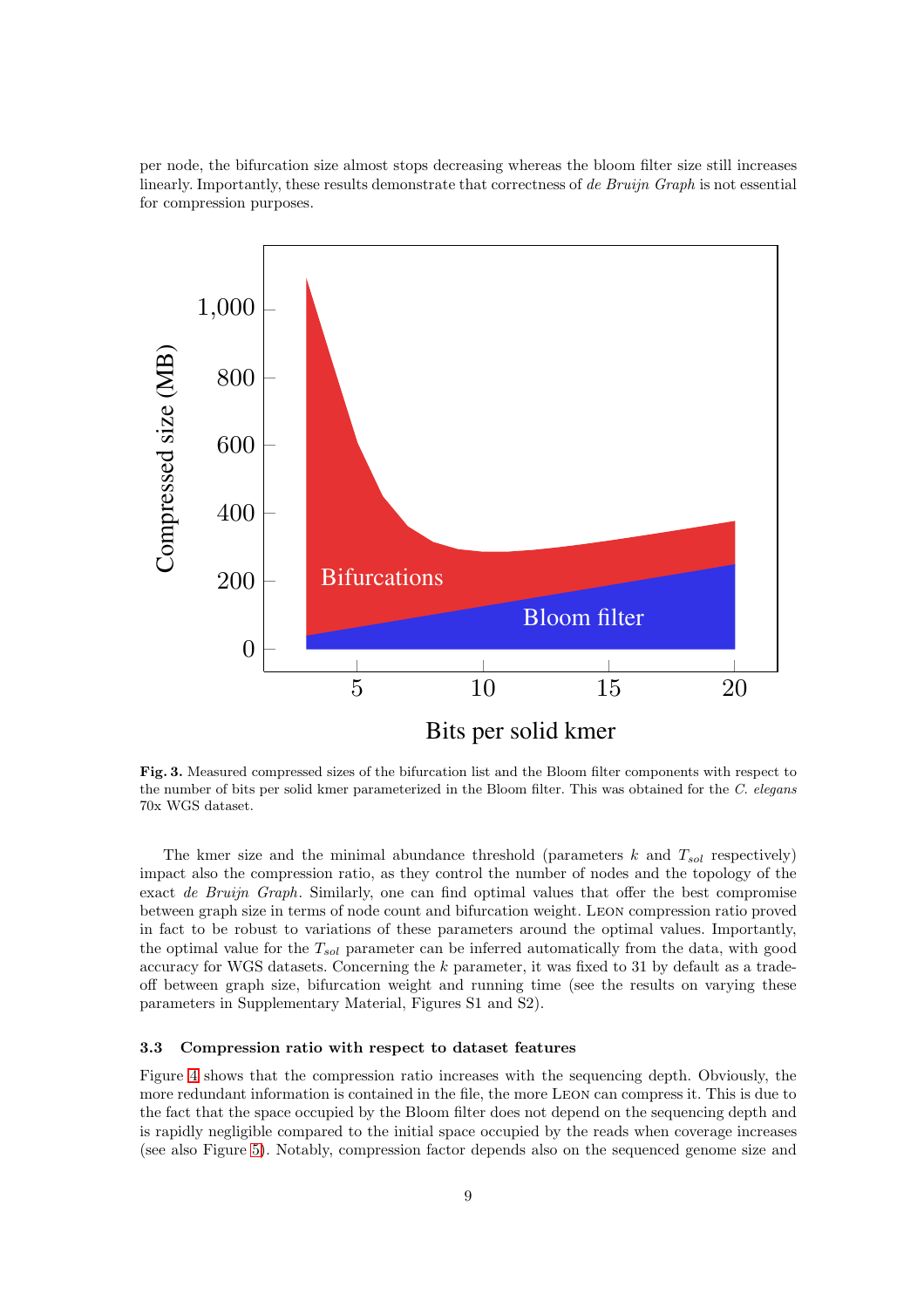per node, the bifurcation size almost stops decreasing whereas the bloom filter size still increases linearly. Importantly, these results demonstrate that correctness of *de Bruijn Graph* is not essential for compression purposes.



<span id="page-8-1"></span>Fig. 3. Measured compressed sizes of the bifurcation list and the Bloom filter components with respect to the number of bits per solid kmer parameterized in the Bloom filter. This was obtained for the C. elegans 70x WGS dataset.

The kmer size and the minimal abundance threshold (parameters  $k$  and  $T_{sol}$  respectively) impact also the compression ratio, as they control the number of nodes and the topology of the exact *de Bruijn Graph*. Similarly, one can find optimal values that offer the best compromise between graph size in terms of node count and bifurcation weight. Leon compression ratio proved in fact to be robust to variations of these parameters around the optimal values. Importantly, the optimal value for the  $T_{sol}$  parameter can be inferred automatically from the data, with good accuracy for WGS datasets. Concerning the k parameter, it was fixed to 31 by default as a tradeoff between graph size, bifurcation weight and running time (see the results on varying these parameters in Supplementary Material, Figures S1 and S2).

## <span id="page-8-0"></span>3.3 Compression ratio with respect to dataset features

Figure [4](#page-9-0) shows that the compression ratio increases with the sequencing depth. Obviously, the more redundant information is contained in the file, the more Leon can compress it. This is due to the fact that the space occupied by the Bloom filter does not depend on the sequencing depth and is rapidly negligible compared to the initial space occupied by the reads when coverage increases (see also Figure [5\)](#page-10-0). Notably, compression factor depends also on the sequenced genome size and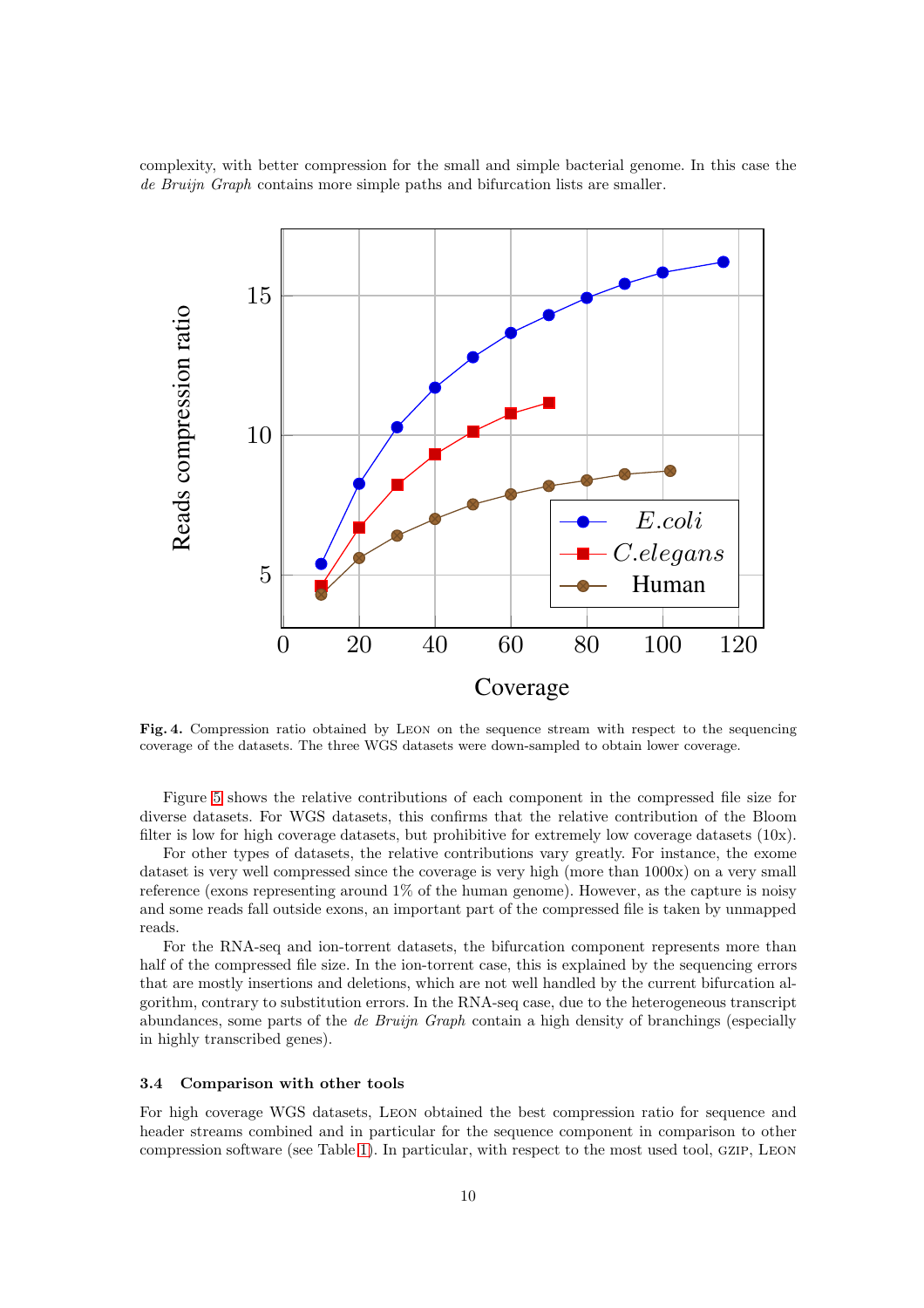complexity, with better compression for the small and simple bacterial genome. In this case the *de Bruijn Graph* contains more simple paths and bifurcation lists are smaller.



<span id="page-9-0"></span>Fig. 4. Compression ratio obtained by Leon on the sequence stream with respect to the sequencing coverage of the datasets. The three WGS datasets were down-sampled to obtain lower coverage.

Figure [5](#page-10-0) shows the relative contributions of each component in the compressed file size for diverse datasets. For WGS datasets, this confirms that the relative contribution of the Bloom filter is low for high coverage datasets, but prohibitive for extremely low coverage datasets  $(10x)$ .

For other types of datasets, the relative contributions vary greatly. For instance, the exome dataset is very well compressed since the coverage is very high (more than 1000x) on a very small reference (exons representing around 1% of the human genome). However, as the capture is noisy and some reads fall outside exons, an important part of the compressed file is taken by unmapped reads.

For the RNA-seq and ion-torrent datasets, the bifurcation component represents more than half of the compressed file size. In the ion-torrent case, this is explained by the sequencing errors that are mostly insertions and deletions, which are not well handled by the current bifurcation algorithm, contrary to substitution errors. In the RNA-seq case, due to the heterogeneous transcript abundances, some parts of the *de Bruijn Graph* contain a high density of branchings (especially in highly transcribed genes).

#### 3.4 Comparison with other tools

For high coverage WGS datasets, Leon obtained the best compression ratio for sequence and header streams combined and in particular for the sequence component in comparison to other compression software (see Table [1\)](#page-12-0). In particular, with respect to the most used tool, gzip, Leon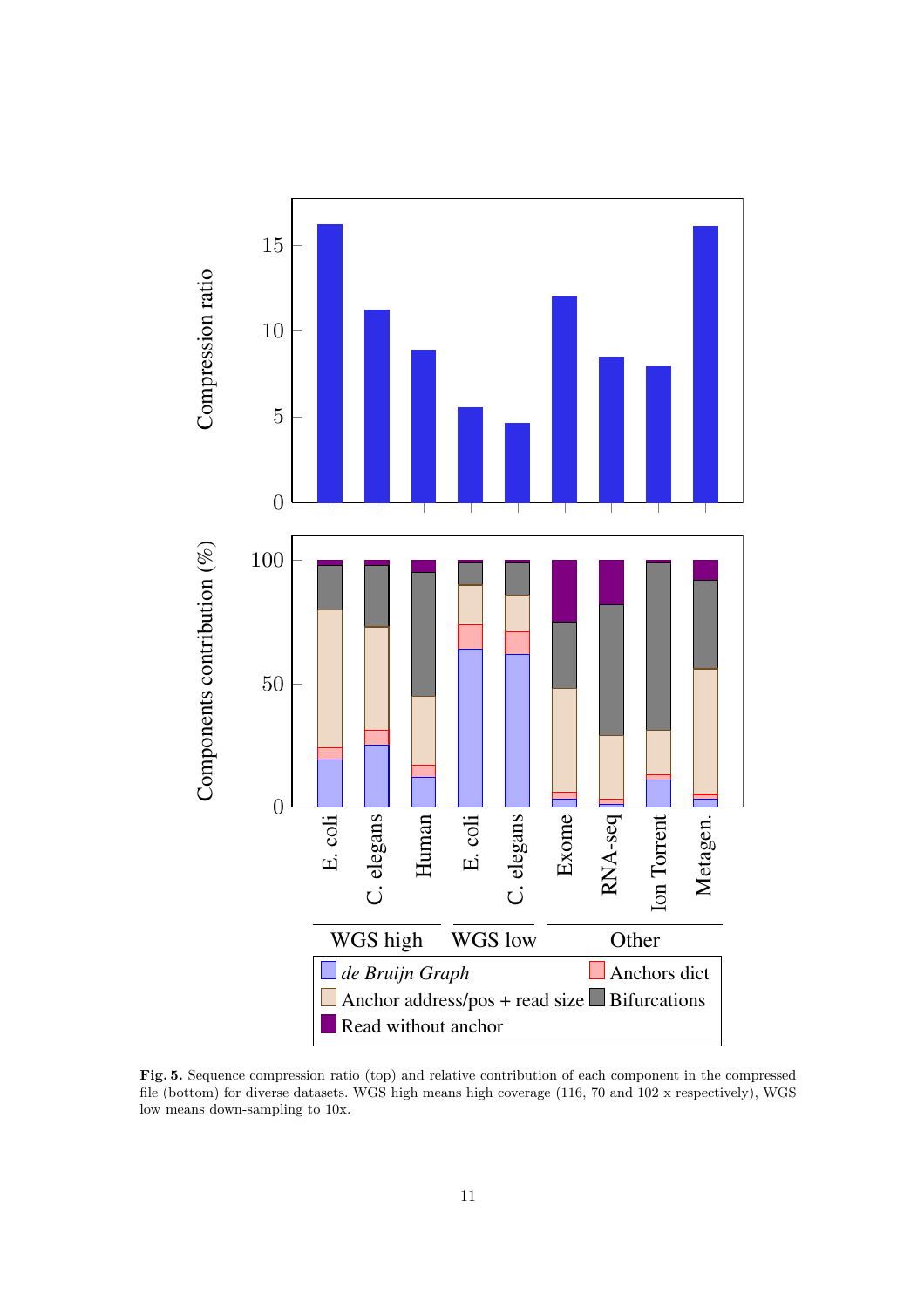

<span id="page-10-0"></span>Fig. 5. Sequence compression ratio (top) and relative contribution of each component in the compressed file (bottom) for diverse datasets. WGS high means high coverage (116, 70 and 102 x respectively), WGS low means down-sampling to 10x.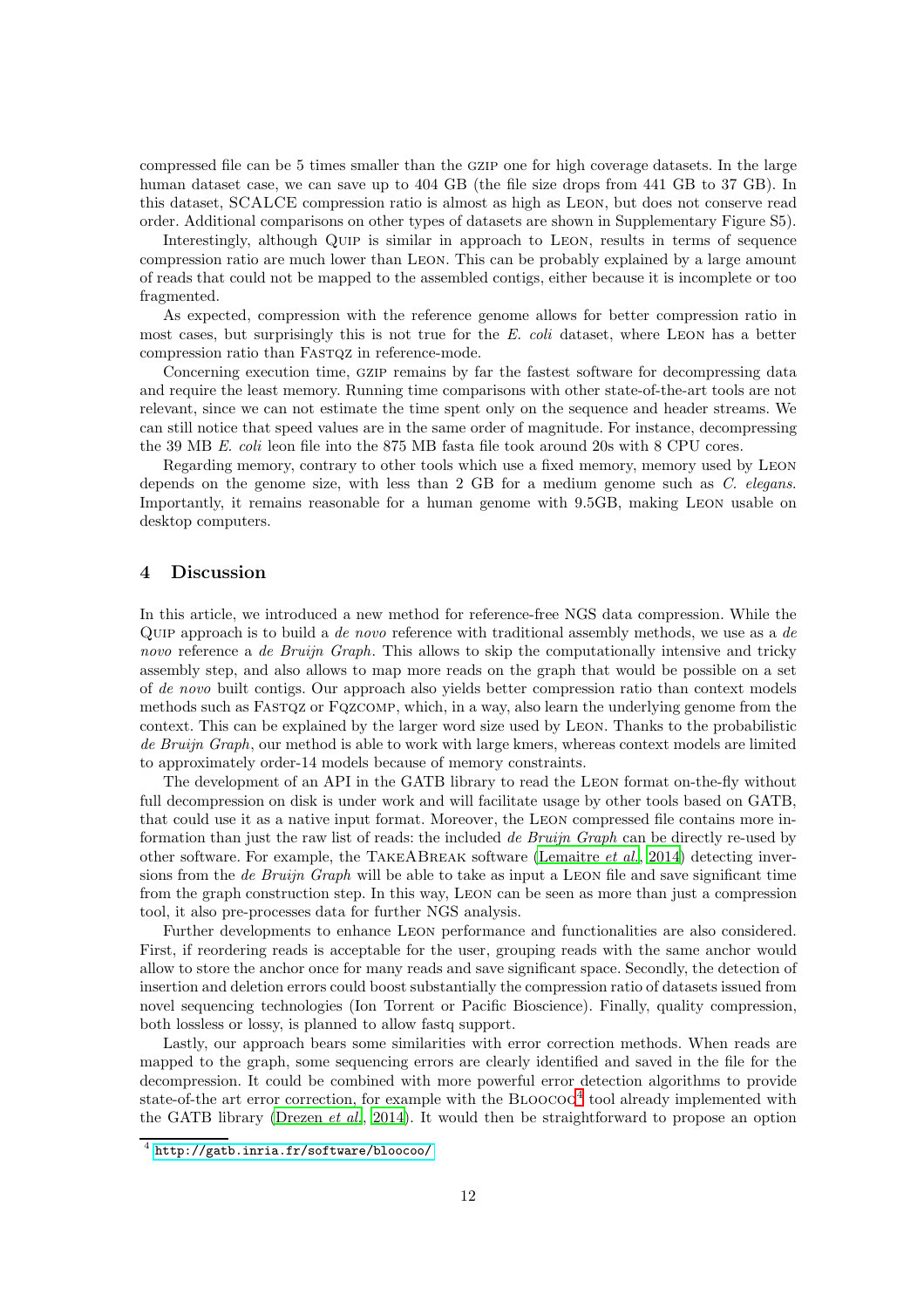compressed file can be 5 times smaller than the gzip one for high coverage datasets. In the large human dataset case, we can save up to 404 GB (the file size drops from 441 GB to 37 GB). In this dataset, SCALCE compression ratio is almost as high as Leon, but does not conserve read order. Additional comparisons on other types of datasets are shown in Supplementary Figure S5).

Interestingly, although Quip is similar in approach to Leon, results in terms of sequence compression ratio are much lower than Leon. This can be probably explained by a large amount of reads that could not be mapped to the assembled contigs, either because it is incomplete or too fragmented.

As expected, compression with the reference genome allows for better compression ratio in most cases, but surprisingly this is not true for the *E. coli* dataset, where Leon has a better compression ratio than FASTOZ in reference-mode.

Concerning execution time, gzip remains by far the fastest software for decompressing data and require the least memory. Running time comparisons with other state-of-the-art tools are not relevant, since we can not estimate the time spent only on the sequence and header streams. We can still notice that speed values are in the same order of magnitude. For instance, decompressing the 39 MB *E. coli* leon file into the 875 MB fasta file took around 20s with 8 CPU cores.

Regarding memory, contrary to other tools which use a fixed memory, memory used by Leon depends on the genome size, with less than 2 GB for a medium genome such as *C. elegans*. Importantly, it remains reasonable for a human genome with 9.5GB, making Leon usable on desktop computers.

# 4 Discussion

In this article, we introduced a new method for reference-free NGS data compression. While the Quip approach is to build a *de novo* reference with traditional assembly methods, we use as a *de novo* reference a *de Bruijn Graph*. This allows to skip the computationally intensive and tricky assembly step, and also allows to map more reads on the graph that would be possible on a set of *de novo* built contigs. Our approach also yields better compression ratio than context models methods such as Fastqz or Fqzcomp, which, in a way, also learn the underlying genome from the context. This can be explained by the larger word size used by Leon. Thanks to the probabilistic *de Bruijn Graph*, our method is able to work with large kmers, whereas context models are limited to approximately order-14 models because of memory constraints.

The development of an API in the GATB library to read the Leon format on-the-fly without full decompression on disk is under work and will facilitate usage by other tools based on GATB, that could use it as a native input format. Moreover, the Leon compressed file contains more information than just the raw list of reads: the included *de Bruijn Graph* can be directly re-used by other software. For example, the TakeABreak software [\(Lemaitre](#page-20-17) *et al.*, [2014\)](#page-20-17) detecting inversions from the *de Bruijn Graph* will be able to take as input a Leon file and save significant time from the graph construction step. In this way, Leon can be seen as more than just a compression tool, it also pre-processes data for further NGS analysis.

Further developments to enhance Leon performance and functionalities are also considered. First, if reordering reads is acceptable for the user, grouping reads with the same anchor would allow to store the anchor once for many reads and save significant space. Secondly, the detection of insertion and deletion errors could boost substantially the compression ratio of datasets issued from novel sequencing technologies (Ion Torrent or Pacific Bioscience). Finally, quality compression, both lossless or lossy, is planned to allow fastq support.

Lastly, our approach bears some similarities with error correction methods. When reads are mapped to the graph, some sequencing errors are clearly identified and saved in the file for the decompression. It could be combined with more powerful error detection algorithms to provide state-of-the art error correction, for example with the  $B_{LOOCOO}^4$  $B_{LOOCOO}^4$  tool already implemented with the GATB library [\(Drezen](#page-20-14) *et al.*, [2014](#page-20-14)). It would then be straightforward to propose an option

<span id="page-11-0"></span><sup>4</sup> <http://gatb.inria.fr/software/bloocoo/>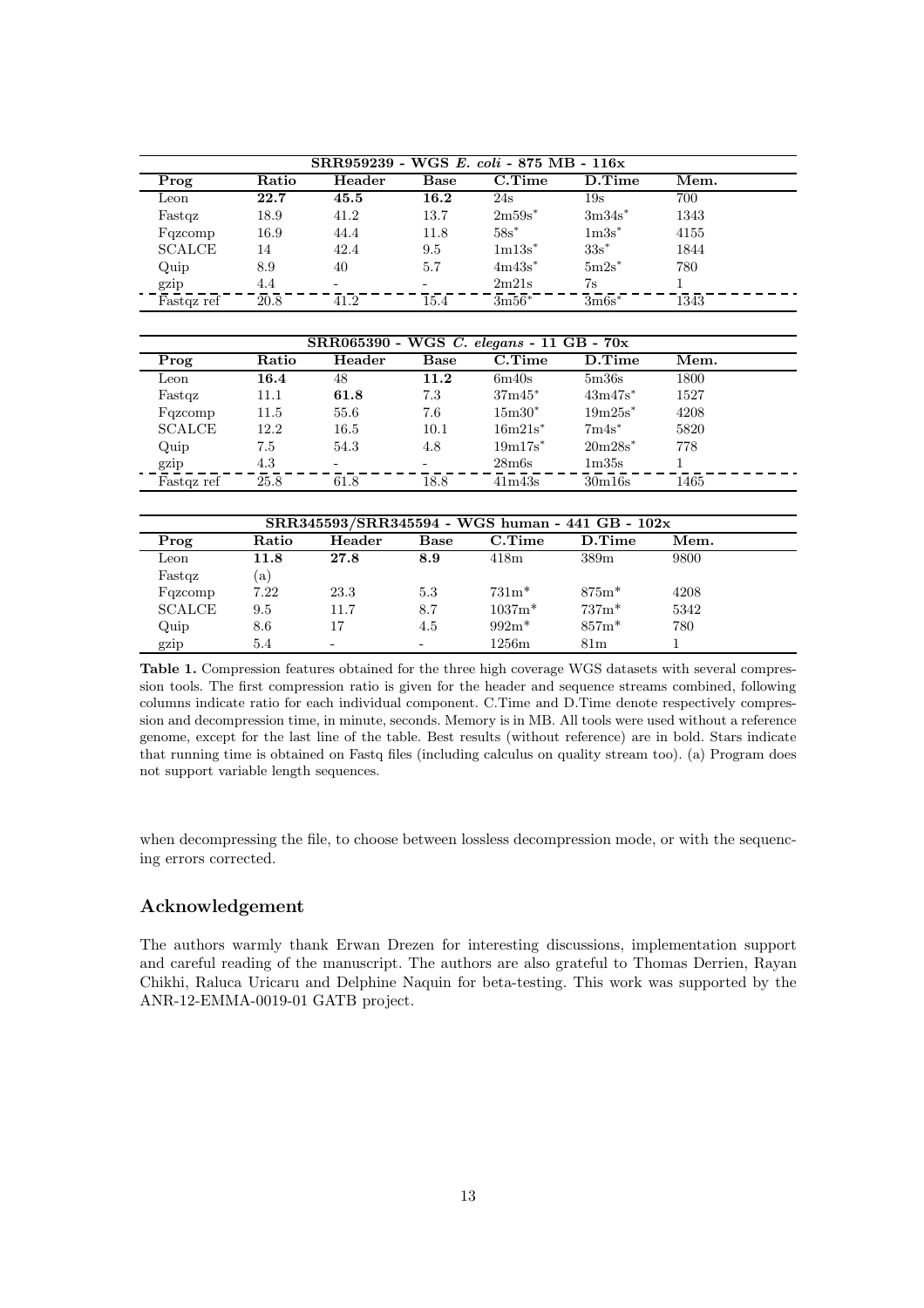| SRR959239 - WGS E. coli - 875 MB - 116x |       |                          |      |                   |            |      |  |
|-----------------------------------------|-------|--------------------------|------|-------------------|------------|------|--|
| Prog                                    | Ratio | Header                   | Base | $C.\mathrm{Time}$ | $D$ . Time | Mem. |  |
| Leon                                    | 22.7  | 45.5                     | 16.2 | 24s               | 19s        | 700  |  |
| Fastqz                                  | 18.9  | 41.2                     | 13.7 | $2m59s^*$         | $3m34s^*$  | 1343 |  |
| Fqzcomp                                 | 16.9  | 44.4                     | 11.8 | $58s^*$           | $1m3s*$    | 4155 |  |
| <b>SCALCE</b>                           | 14    | 42.4                     | 9.5  | $1m13s^*$         | $33s^*$    | 1844 |  |
| Quip                                    | 8.9   | 40                       | 5.7  | $4m43s^*$         | $5m2s^*$   | 780  |  |
| gzip                                    | 4.4   | $\overline{\phantom{0}}$ | -    | 2m21s             | 7s         |      |  |
| Fastqz ref                              | 20.8  | 41.2                     | 15.4 | $3m56*$           | $3m6s^*$   | 1343 |  |

| SRR065390 - WGS C. elegans - 11 GB - 70x |       |        |      |                    |                       |      |  |
|------------------------------------------|-------|--------|------|--------------------|-----------------------|------|--|
| Prog                                     | Ratio | Header | Base | $C.\mathrm{Time}$  | D.Time                | Mem. |  |
| Leon                                     | 16.4  | 48     | 11.2 | 6m40s              | 5 <sub>m36s</sub>     | 1800 |  |
| Fastqz                                   | 11.1  | 61.8   | 7.3  | $37m45*$           | $43m47s$ <sup>*</sup> | 1527 |  |
| Fqzcomp                                  | 11.5  | 55.6   | 7.6  | $15m30*$           | $19m25s^*$            | 4208 |  |
| <b>SCALCE</b>                            | 12.2  | 16.5   | 10.1 | $16m21s^*$         | $7m4s^*$              | 5820 |  |
| Quip                                     | 7.5   | 54.3   | 4.8  | $19m17s^*$         | $20m28s^*$            | 778  |  |
| gzip                                     | 4.3   | -      | -    | 28 <sub>m</sub> 6s | 1 <sub>m35s</sub>     |      |  |
| Fastqz ref                               | 25.8  | 61.8   | 18.8 | 41m43s             | 30m16s                | 1465 |  |

| SRR345593/SRR345594 - WGS human - 441 GB - 102x |       |        |             |                   |                 |      |  |
|-------------------------------------------------|-------|--------|-------------|-------------------|-----------------|------|--|
| Prog                                            | Ratio | Header | <b>Base</b> | $C.\mathrm{Time}$ | D.Time          | Mem. |  |
| Leon                                            | 11.8  | 27.8   | 8.9         | 418m              | 389m            | 9800 |  |
| Fastqz                                          | (a)   |        |             |                   |                 |      |  |
| Fqzcomp                                         | 7.22  | 23.3   | 5.3         | $731m*$           | $875m*$         | 4208 |  |
| <b>SCALCE</b>                                   | 9.5   | 11.7   | 8.7         | $1037m*$          | $737m*$         | 5342 |  |
| Quip                                            | 8.6   | 17     | 4.5         | $992m*$           | $857m*$         | 780  |  |
| gzip                                            | 5.4   |        |             | 1256m             | 81 <sub>m</sub> |      |  |

<span id="page-12-0"></span>Table 1. Compression features obtained for the three high coverage WGS datasets with several compression tools. The first compression ratio is given for the header and sequence streams combined, following columns indicate ratio for each individual component. C.Time and D.Time denote respectively compression and decompression time, in minute, seconds. Memory is in MB. All tools were used without a reference genome, except for the last line of the table. Best results (without reference) are in bold. Stars indicate that running time is obtained on Fastq files (including calculus on quality stream too). (a) Program does not support variable length sequences.

when decompressing the file, to choose between lossless decompression mode, or with the sequencing errors corrected.

# Acknowledgement

The authors warmly thank Erwan Drezen for interesting discussions, implementation support and careful reading of the manuscript. The authors are also grateful to Thomas Derrien, Rayan Chikhi, Raluca Uricaru and Delphine Naquin for beta-testing. This work was supported by the ANR-12-EMMA-0019-01 GATB project.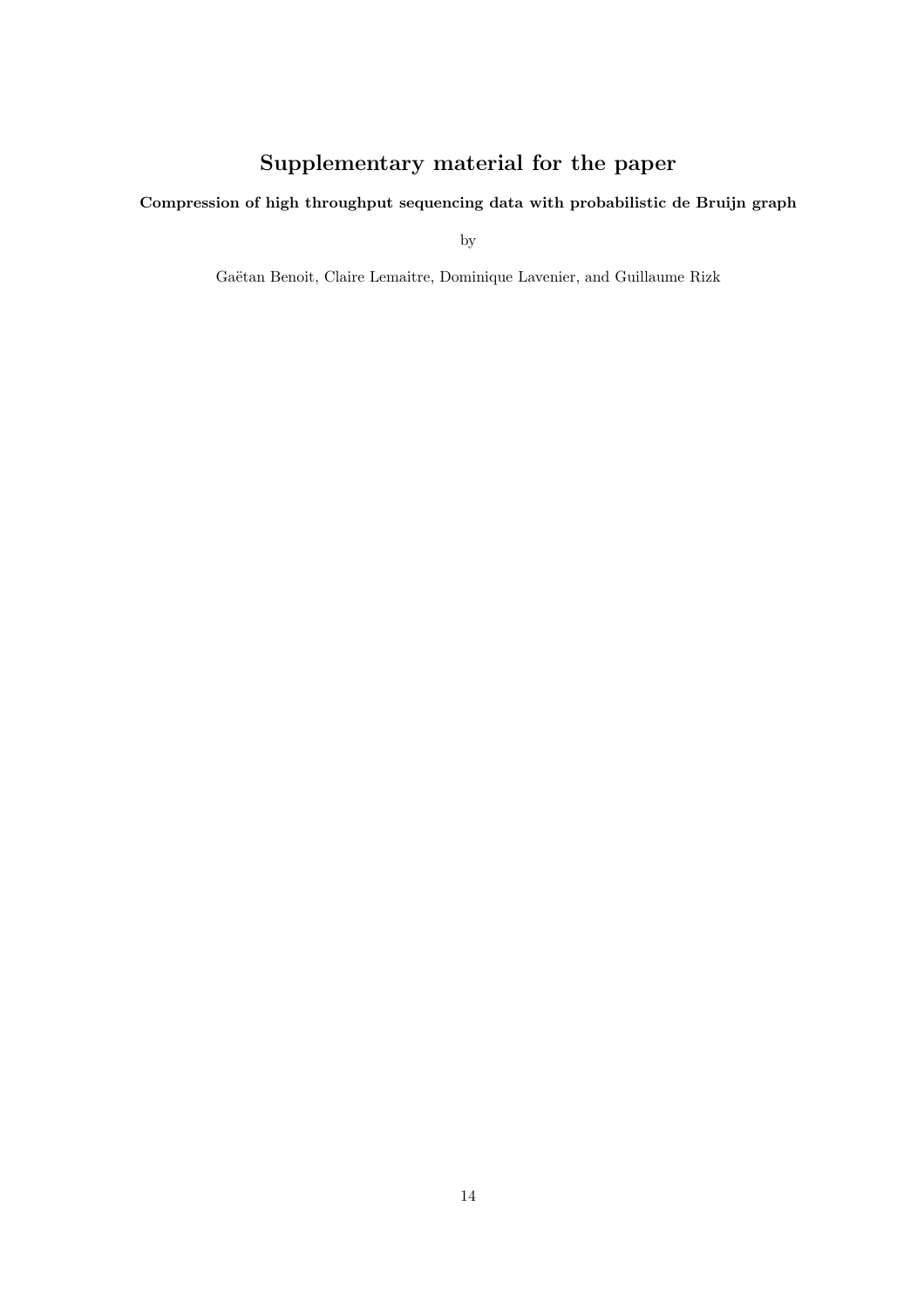# Supplementary material for the paper

# Compression of high throughput sequencing data with probabilistic de Bruijn graph

by

Gaëtan Benoit, Claire Lemaitre, Dominique Lavenier, and Guillaume Rizk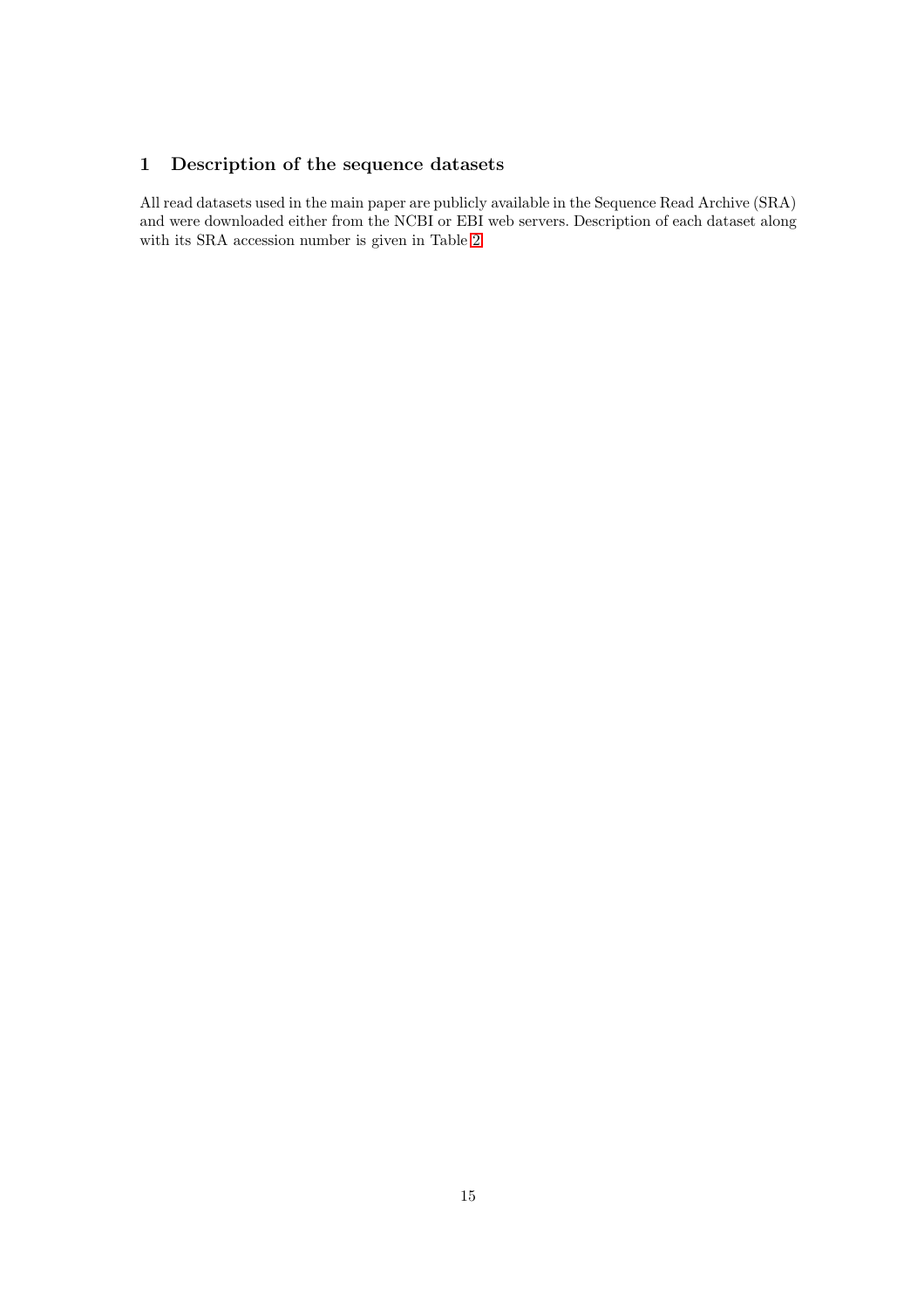# 1 Description of the sequence datasets

All read datasets used in the main paper are publicly available in the Sequence Read Archive (SRA) and were downloaded either from the NCBI or EBI web servers. Description of each dataset along with its SRA accession number is given in Table [2.](#page-15-0)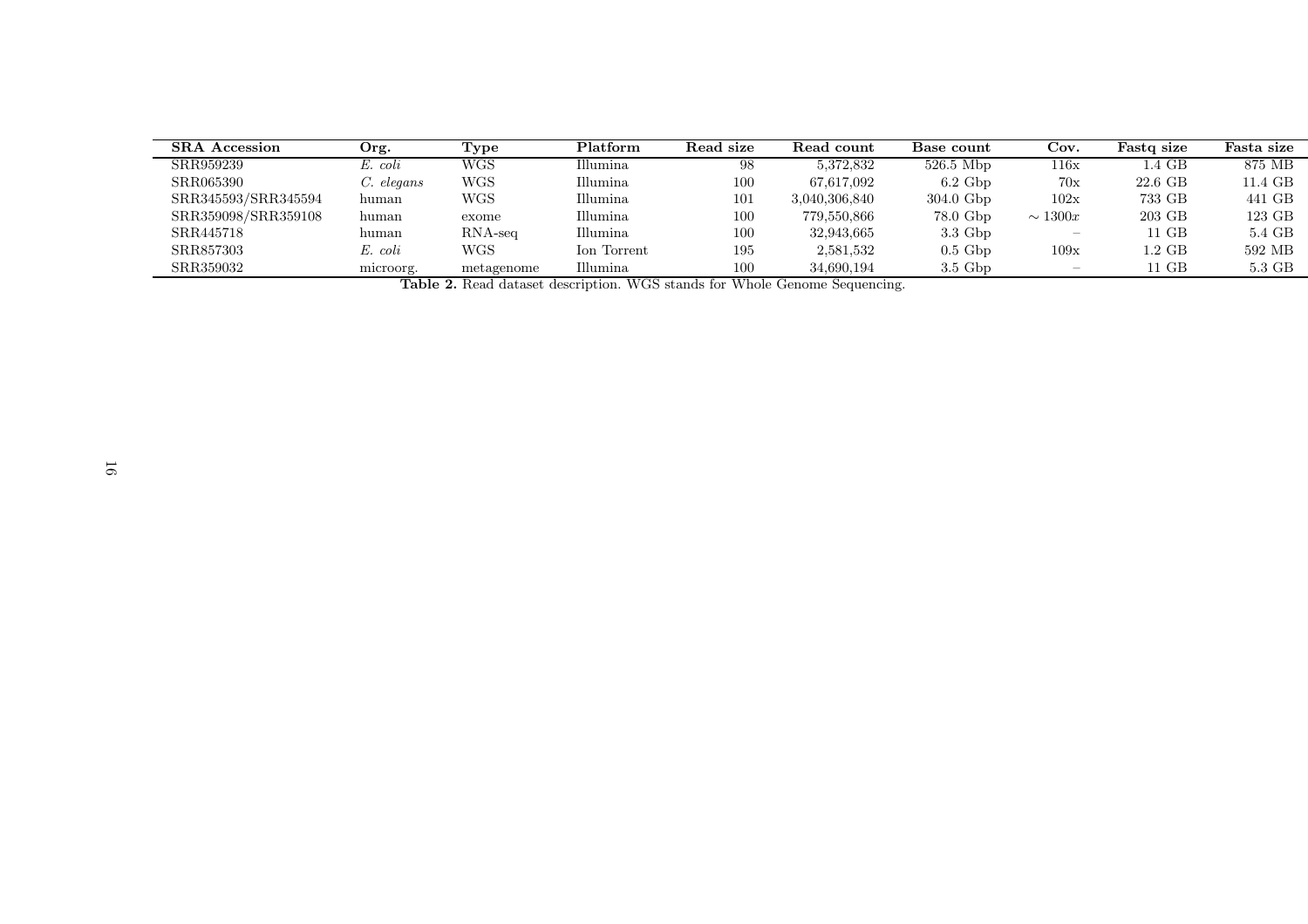| <b>SRA</b> Accession | Org.       | Type                 | Platform    | Read size | Read count    | Base count          | Cov.                     | Fasto size | Fasta size |
|----------------------|------------|----------------------|-------------|-----------|---------------|---------------------|--------------------------|------------|------------|
| SRR959239            | E. coli    | WGS                  | Illumina    | 98        | 5,372,832     | $526.5$ Mbp         | $116\mathrm{x}$          | 1.4 GB     | 875 MB     |
| SRR065390            | C. elegans | WGS                  | Illumina    | 100       | 67,617,092    | $6.2~\mathrm{Gbp}$  | 70x                      | 22.6 GB    | 11.4 GB    |
| SRR345593/SRR345594  | human      | WGS                  | Illumina    | 101       | 3,040,306,840 | $304.0$ Gbp         | 102x                     | 733 GB     | 441 GB     |
| SRR359098/SRR359108  | human      | exome                | Illumina    | 100       | 779,550,866   | 78.0 Gbp            | $\sim 1300x$             | 203 GB     | 123 GB     |
| SRR445718            | human      | $\rm RNA\text{-}seq$ | Illumina    | 100       | 32.943.665    | $3.3\,\mathrm{Gbp}$ | $\overline{\phantom{0}}$ | $11$ GB    | 5.4 GB     |
| SRR857303            | E. coli    | WGS                  | Ion Torrent | 195       | 2,581,532     | $0.5$ Gbp           | 109x                     | $1.2\,$ GB | 592 MB     |
| SRR359032            | microorg.  | metagenome           | Illumina    | 100       | 34,690,194    | $3.5\,\mathrm{Gbp}$ | $\overline{\phantom{0}}$ | $11$ GB    | 5.3 GB     |

<span id="page-15-0"></span>Table 2. Read dataset description. WGS stands for Whole Genome Sequencing.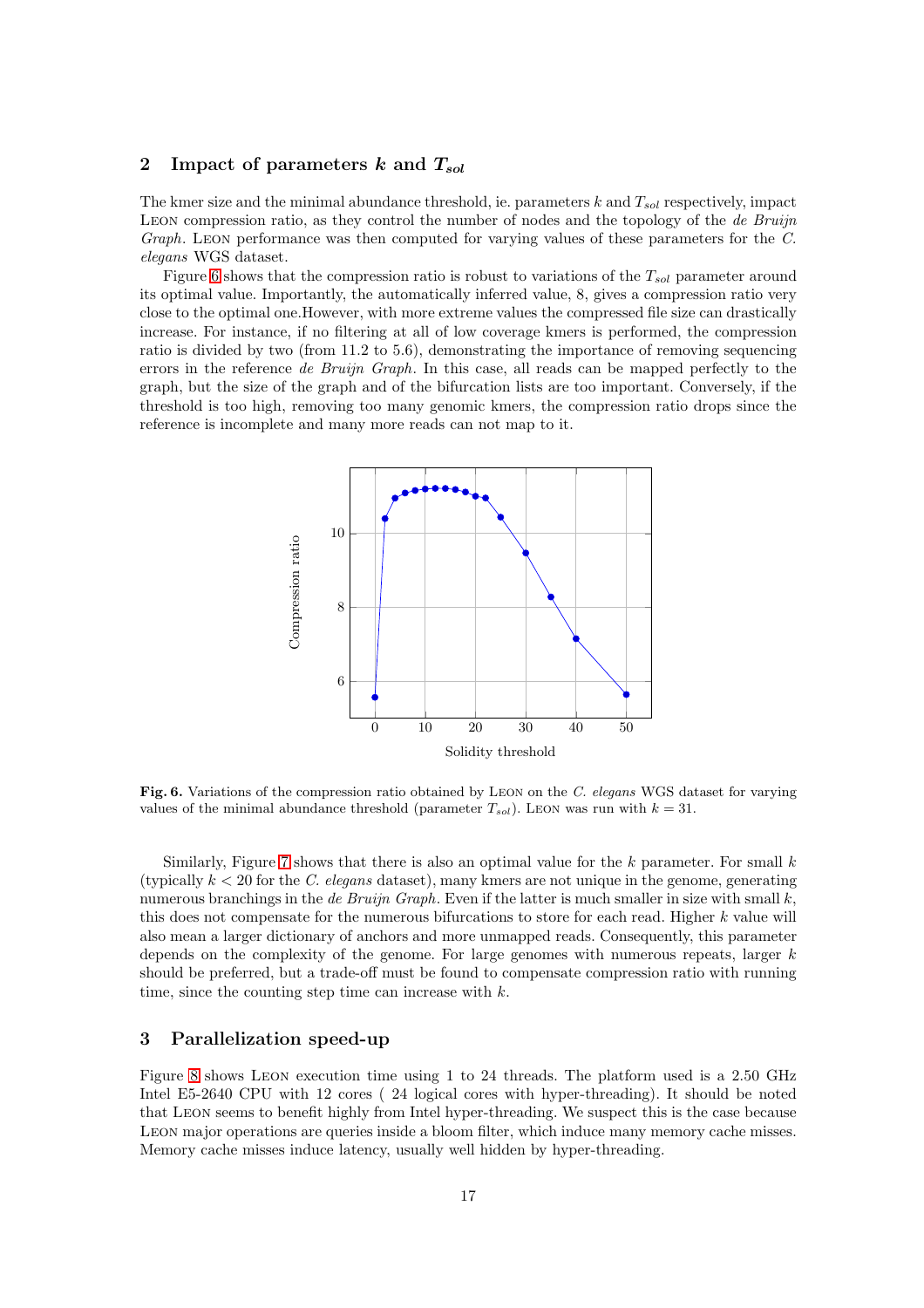# 2 Impact of parameters k and  $T_{sol}$

The kmer size and the minimal abundance threshold, ie. parameters  $k$  and  $T_{sol}$  respectively, impact Leon compression ratio, as they control the number of nodes and the topology of the *de Bruijn Graph*. Leon performance was then computed for varying values of these parameters for the *C. elegans* WGS dataset.

Figure [6](#page-16-0) shows that the compression ratio is robust to variations of the  $T_{sol}$  parameter around its optimal value. Importantly, the automatically inferred value, 8, gives a compression ratio very close to the optimal one.However, with more extreme values the compressed file size can drastically increase. For instance, if no filtering at all of low coverage kmers is performed, the compression ratio is divided by two (from 11.2 to 5.6), demonstrating the importance of removing sequencing errors in the reference *de Bruijn Graph*. In this case, all reads can be mapped perfectly to the graph, but the size of the graph and of the bifurcation lists are too important. Conversely, if the threshold is too high, removing too many genomic kmers, the compression ratio drops since the reference is incomplete and many more reads can not map to it.



<span id="page-16-0"></span>Fig. 6. Variations of the compression ratio obtained by LEON on the C. elegans WGS dataset for varying values of the minimal abundance threshold (parameter  $T_{sol}$ ). LEON was run with  $k = 31$ .

Similarly, Figure [7](#page-17-0) shows that there is also an optimal value for the  $k$  parameter. For small  $k$ (typically k < 20 for the *C. elegans* dataset), many kmers are not unique in the genome, generating numerous branchings in the *de Bruijn Graph*. Even if the latter is much smaller in size with small k, this does not compensate for the numerous bifurcations to store for each read. Higher k value will also mean a larger dictionary of anchors and more unmapped reads. Consequently, this parameter depends on the complexity of the genome. For large genomes with numerous repeats, larger  $k$ should be preferred, but a trade-off must be found to compensate compression ratio with running time, since the counting step time can increase with  $k$ .

# 3 Parallelization speed-up

Figure [8](#page-17-1) shows Leon execution time using 1 to 24 threads. The platform used is a 2.50 GHz Intel E5-2640 CPU with 12 cores ( 24 logical cores with hyper-threading). It should be noted that Leon seems to benefit highly from Intel hyper-threading. We suspect this is the case because LEON major operations are queries inside a bloom filter, which induce many memory cache misses. Memory cache misses induce latency, usually well hidden by hyper-threading.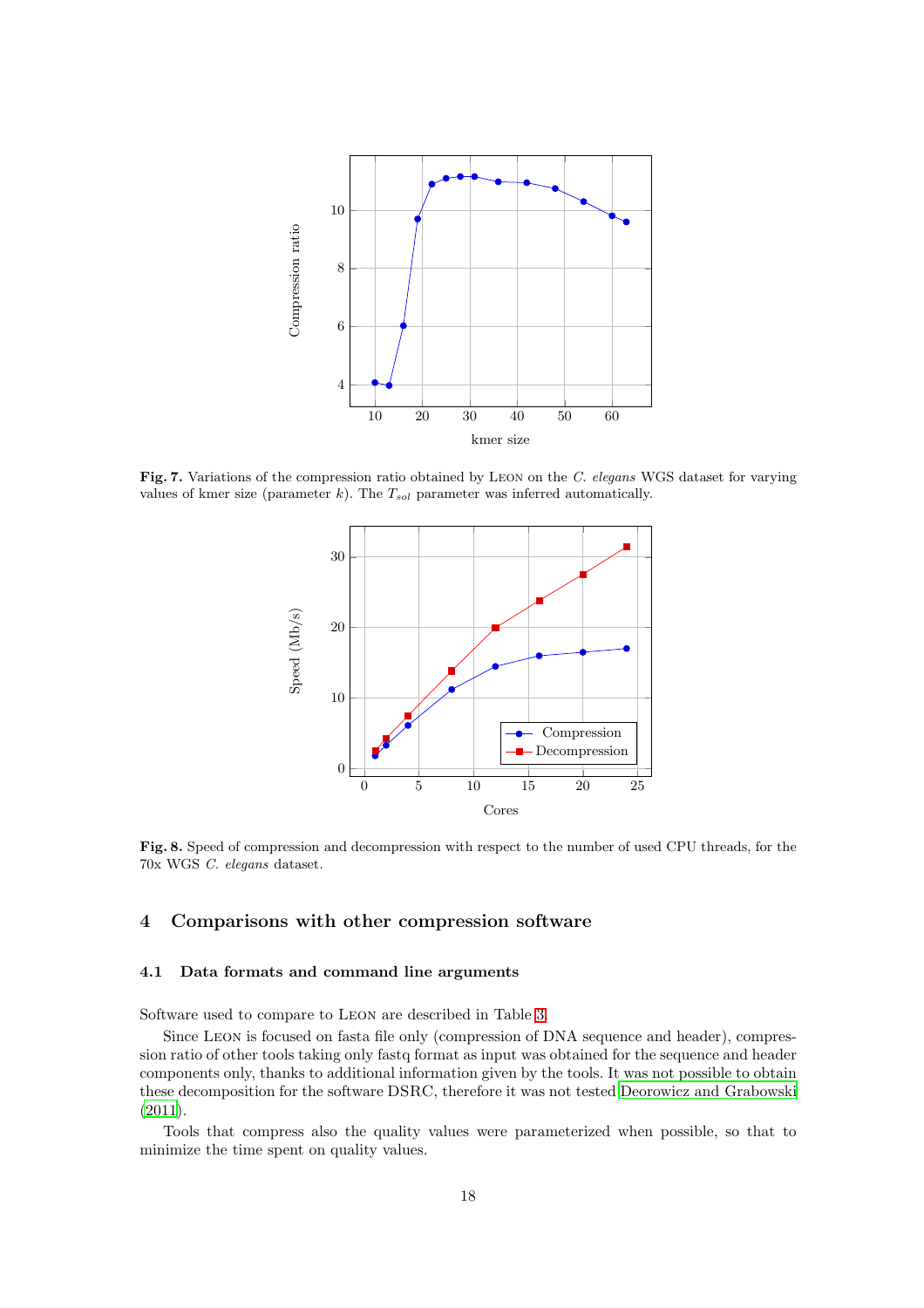

<span id="page-17-0"></span>Fig. 7. Variations of the compression ratio obtained by LEON on the C. elegans WGS dataset for varying values of kmer size (parameter k). The  $T_{sol}$  parameter was inferred automatically.



<span id="page-17-1"></span>Fig. 8. Speed of compression and decompression with respect to the number of used CPU threads, for the 70x WGS C. elegans dataset.

# 4 Comparisons with other compression software

#### 4.1 Data formats and command line arguments

Software used to compare to Leon are described in Table [3.](#page-18-0)

Since Leon is focused on fasta file only (compression of DNA sequence and header), compression ratio of other tools taking only fastq format as input was obtained for the sequence and header components only, thanks to additional information given by the tools. It was not possible to obtain these decomposition for the software DSRC, therefore it was not tested [Deorowicz and Grabowski](#page-20-7) [\(2011\)](#page-20-7).

Tools that compress also the quality values were parameterized when possible, so that to minimize the time spent on quality values.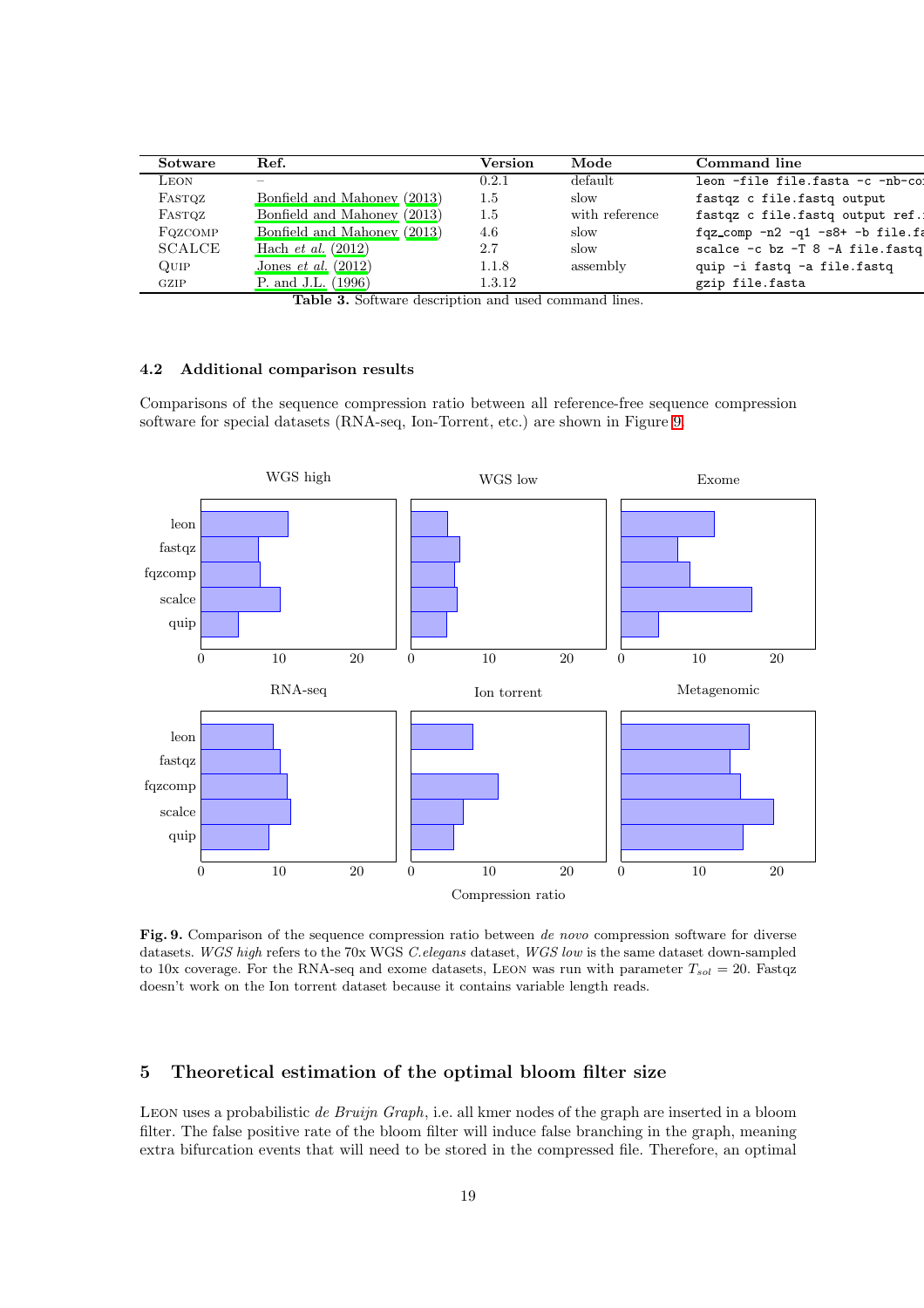| Sotware          | Ref.                         | Version | Mode           | Command line                             |
|------------------|------------------------------|---------|----------------|------------------------------------------|
| LEON             | _                            | 0.2.1   | default        | leon -file file.fasta -c -nb-co:         |
| FASTQZ           | Bonfield and Mahoney (2013)  | 1.5     | slow           | fastqz c file.fastq output               |
| FASTQZ           | Bonfield and Mahoney (2013)  | 1.5     | with reference | fastqz c file.fastq output ref.:         |
| FQZCOMP          | Bonfield and Mahoney (2013)  | 4.6     | slow           | $fqz_{comp} - n2 - q1 - s8 + -b file.fa$ |
| <b>SCALCE</b>    | Hach <i>et al.</i> $(2012)$  | 2.7     | slow           | scalce -c bz -T 8 -A file.fastq          |
| $_{\text{Quip}}$ | Jones <i>et al.</i> $(2012)$ | 1.1.8   | assembly       | quip -i fastq -a file.fastq              |
| GZIP             | P. and J.L. (1996)           | 1.3.12  |                | gzip file.fasta                          |

<span id="page-18-0"></span>Table 3. Software description and used command lines.

## 4.2 Additional comparison results

Comparisons of the sequence compression ratio between all reference-free sequence compression software for special datasets (RNA-seq, Ion-Torrent, etc.) are shown in Figure [9.](#page-18-1)



<span id="page-18-1"></span>Fig. 9. Comparison of the sequence compression ratio between de novo compression software for diverse datasets. WGS high refers to the 70x WGS C.elegans dataset, WGS low is the same dataset down-sampled to 10x coverage. For the RNA-seq and exome datasets, LEON was run with parameter  $T_{sol} = 20$ . Fastqz doesn't work on the Ion torrent dataset because it contains variable length reads.

# 5 Theoretical estimation of the optimal bloom filter size

Leon uses a probabilistic *de Bruijn Graph*, i.e. all kmer nodes of the graph are inserted in a bloom filter. The false positive rate of the bloom filter will induce false branching in the graph, meaning extra bifurcation events that will need to be stored in the compressed file. Therefore, an optimal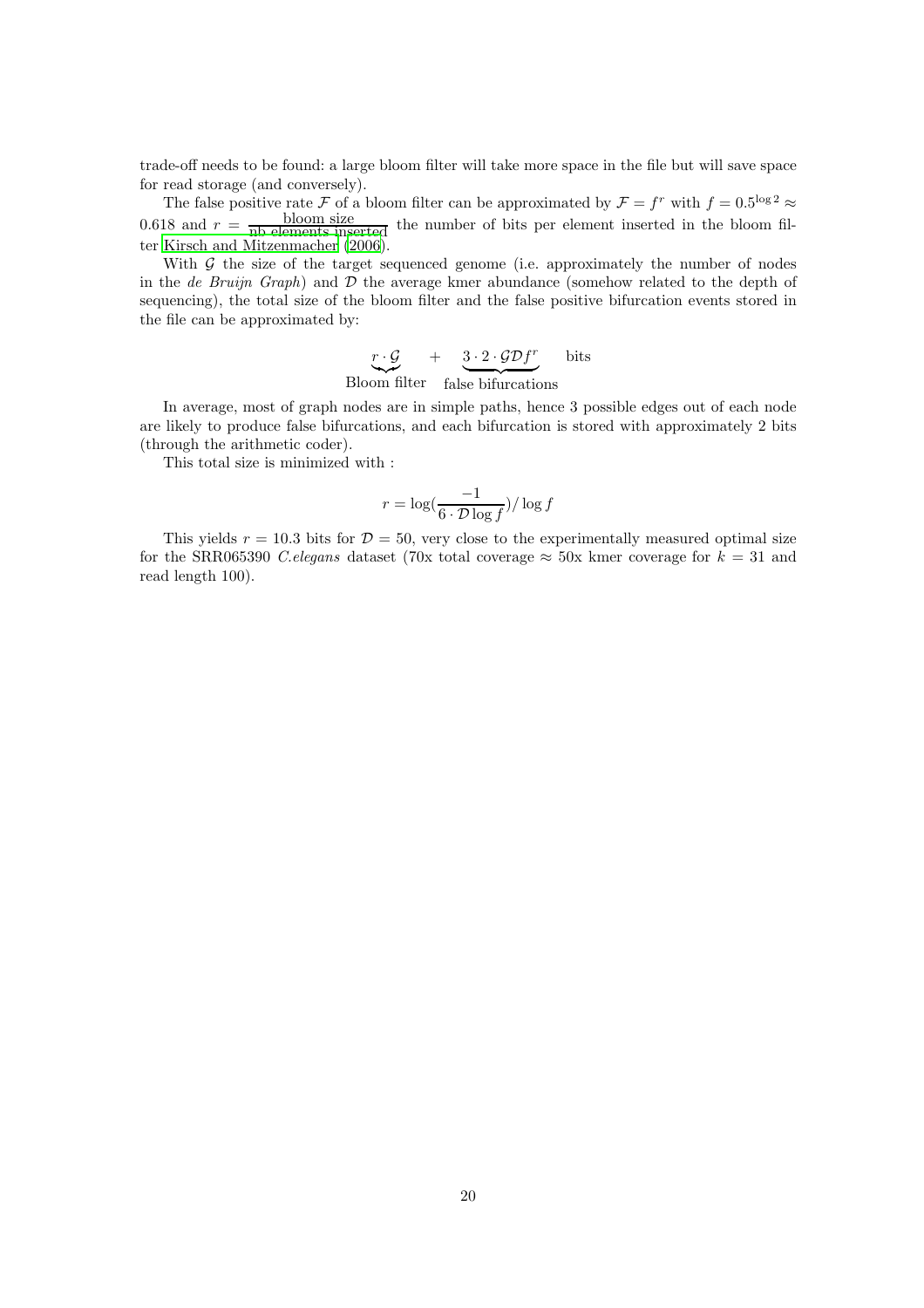trade-off needs to be found: a large bloom filter will take more space in the file but will save space for read storage (and conversely).

The false positive rate  $\mathcal F$  of a bloom filter can be approximated by  $\mathcal F = f^r$  with  $f = 0.5^{\log 2} \approx$ 0.618 and  $r =$  bloom size the number of bits per element inserted in the bloom filter [Kirsch and Mitzenmacher \(2006\)](#page-20-8).

With  $\mathcal G$  the size of the target sequenced genome (i.e. approximately the number of nodes in the *de Bruijn Graph*) and D the average kmer abundance (somehow related to the depth of sequencing), the total size of the bloom filter and the false positive bifurcation events stored in the file can be approximated by:

> $\stackrel{r\cdot \mathcal{G}}{\smile}$ Bloom filter  $+ 3 \cdot 2 \cdot \mathcal{G} \mathcal{D} f^r$  $\underbrace{\qquad \qquad \qquad }_{\sim \sim \sim}$ false bifurcations bits

In average, most of graph nodes are in simple paths, hence 3 possible edges out of each node are likely to produce false bifurcations, and each bifurcation is stored with approximately 2 bits (through the arithmetic coder).

This total size is minimized with :

$$
r = \log(\frac{-1}{6 \cdot \mathcal{D} \log f})/\log f
$$

This yields  $r = 10.3$  bits for  $\mathcal{D} = 50$ , very close to the experimentally measured optimal size for the SRR065390 *C.elegans* dataset (70x total coverage  $\approx$  50x kmer coverage for  $k = 31$  and read length 100).